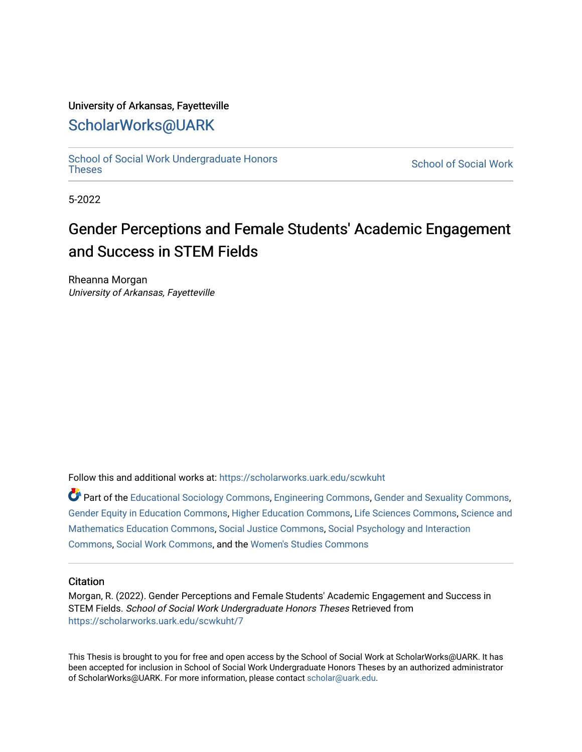### University of Arkansas, Fayetteville

# [ScholarWorks@UARK](https://scholarworks.uark.edu/)

[School of Social Work Undergraduate Honors](https://scholarworks.uark.edu/scwkuht) [Theses](https://scholarworks.uark.edu/scwkuht) [School of Social Work](https://scholarworks.uark.edu/scwk) 

5-2022

# Gender Perceptions and Female Students' Academic Engagement and Success in STEM Fields

Rheanna Morgan University of Arkansas, Fayetteville

Follow this and additional works at: [https://scholarworks.uark.edu/scwkuht](https://scholarworks.uark.edu/scwkuht?utm_source=scholarworks.uark.edu%2Fscwkuht%2F7&utm_medium=PDF&utm_campaign=PDFCoverPages) 

Part of the [Educational Sociology Commons,](http://network.bepress.com/hgg/discipline/1071?utm_source=scholarworks.uark.edu%2Fscwkuht%2F7&utm_medium=PDF&utm_campaign=PDFCoverPages) [Engineering Commons](http://network.bepress.com/hgg/discipline/217?utm_source=scholarworks.uark.edu%2Fscwkuht%2F7&utm_medium=PDF&utm_campaign=PDFCoverPages), [Gender and Sexuality Commons,](http://network.bepress.com/hgg/discipline/420?utm_source=scholarworks.uark.edu%2Fscwkuht%2F7&utm_medium=PDF&utm_campaign=PDFCoverPages) [Gender Equity in Education Commons](http://network.bepress.com/hgg/discipline/1376?utm_source=scholarworks.uark.edu%2Fscwkuht%2F7&utm_medium=PDF&utm_campaign=PDFCoverPages), [Higher Education Commons,](http://network.bepress.com/hgg/discipline/1245?utm_source=scholarworks.uark.edu%2Fscwkuht%2F7&utm_medium=PDF&utm_campaign=PDFCoverPages) [Life Sciences Commons,](http://network.bepress.com/hgg/discipline/1016?utm_source=scholarworks.uark.edu%2Fscwkuht%2F7&utm_medium=PDF&utm_campaign=PDFCoverPages) [Science and](http://network.bepress.com/hgg/discipline/800?utm_source=scholarworks.uark.edu%2Fscwkuht%2F7&utm_medium=PDF&utm_campaign=PDFCoverPages) [Mathematics Education Commons,](http://network.bepress.com/hgg/discipline/800?utm_source=scholarworks.uark.edu%2Fscwkuht%2F7&utm_medium=PDF&utm_campaign=PDFCoverPages) [Social Justice Commons](http://network.bepress.com/hgg/discipline/1432?utm_source=scholarworks.uark.edu%2Fscwkuht%2F7&utm_medium=PDF&utm_campaign=PDFCoverPages), [Social Psychology and Interaction](http://network.bepress.com/hgg/discipline/430?utm_source=scholarworks.uark.edu%2Fscwkuht%2F7&utm_medium=PDF&utm_campaign=PDFCoverPages) [Commons](http://network.bepress.com/hgg/discipline/430?utm_source=scholarworks.uark.edu%2Fscwkuht%2F7&utm_medium=PDF&utm_campaign=PDFCoverPages), [Social Work Commons,](http://network.bepress.com/hgg/discipline/713?utm_source=scholarworks.uark.edu%2Fscwkuht%2F7&utm_medium=PDF&utm_campaign=PDFCoverPages) and the [Women's Studies Commons](http://network.bepress.com/hgg/discipline/561?utm_source=scholarworks.uark.edu%2Fscwkuht%2F7&utm_medium=PDF&utm_campaign=PDFCoverPages) 

#### **Citation**

Morgan, R. (2022). Gender Perceptions and Female Students' Academic Engagement and Success in STEM Fields. School of Social Work Undergraduate Honors Theses Retrieved from [https://scholarworks.uark.edu/scwkuht/7](https://scholarworks.uark.edu/scwkuht/7?utm_source=scholarworks.uark.edu%2Fscwkuht%2F7&utm_medium=PDF&utm_campaign=PDFCoverPages)

This Thesis is brought to you for free and open access by the School of Social Work at ScholarWorks@UARK. It has been accepted for inclusion in School of Social Work Undergraduate Honors Theses by an authorized administrator of ScholarWorks@UARK. For more information, please contact [scholar@uark.edu.](mailto:scholar@uark.edu)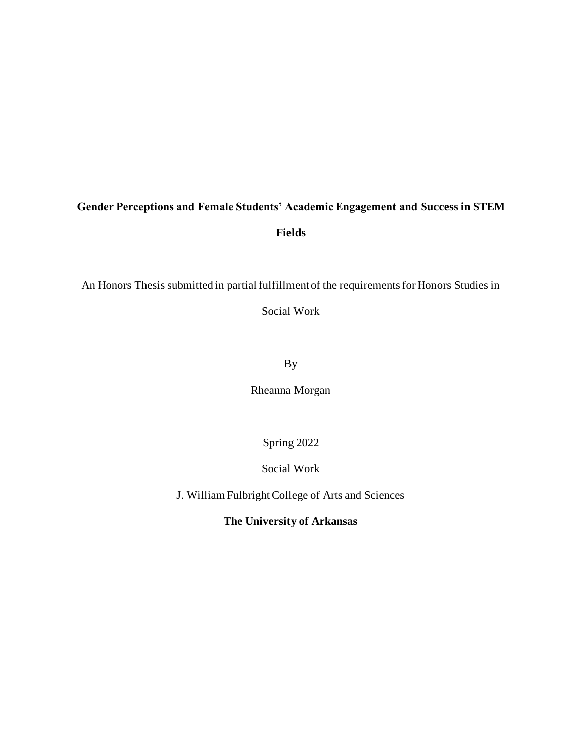# **Gender Perceptions and Female Students' Academic Engagement and Success in STEM Fields**

An Honors Thesis submitted in partial fulfillment of the requirements for Honors Studies in

Social Work

By

Rheanna Morgan

Spring 2022

Social Work

J. William Fulbright College of Arts and Sciences

**The University of Arkansas**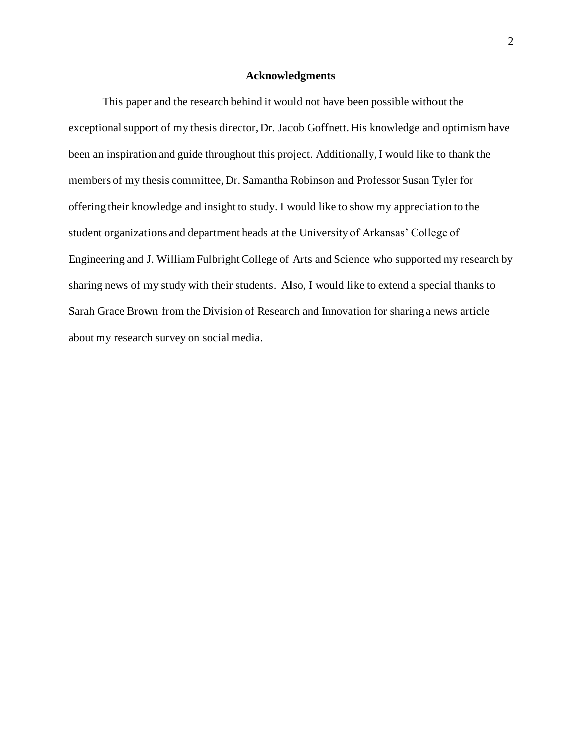#### **Acknowledgments**

This paper and the research behind it would not have been possible without the exceptional support of my thesis director, Dr. Jacob Goffnett. His knowledge and optimism have been an inspiration and guide throughout this project. Additionally, I would like to thank the members of my thesis committee, Dr. Samantha Robinson and Professor Susan Tyler for offering their knowledge and insight to study. I would like to show my appreciation to the student organizations and department heads at the University of Arkansas' College of Engineering and J. William Fulbright College of Arts and Science who supported my research by sharing news of my study with their students. Also, I would like to extend a special thanks to Sarah Grace Brown from the Division of Research and Innovation for sharing a news article about my research survey on social media.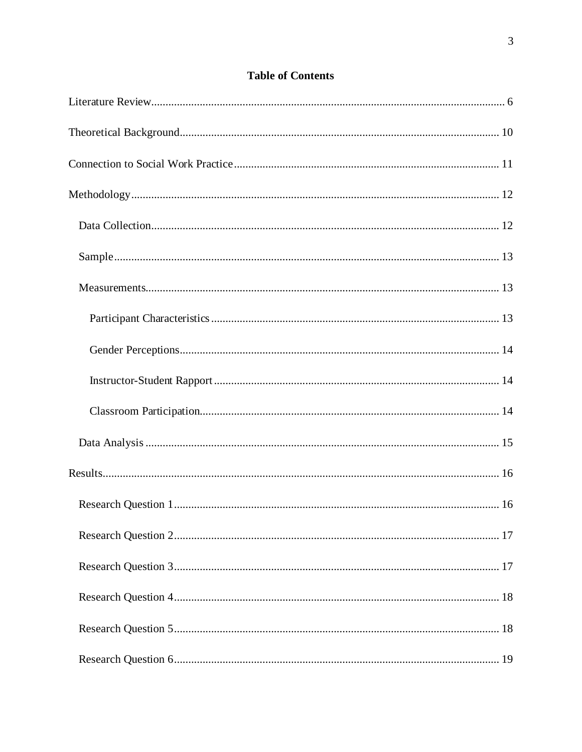# **Table of Contents**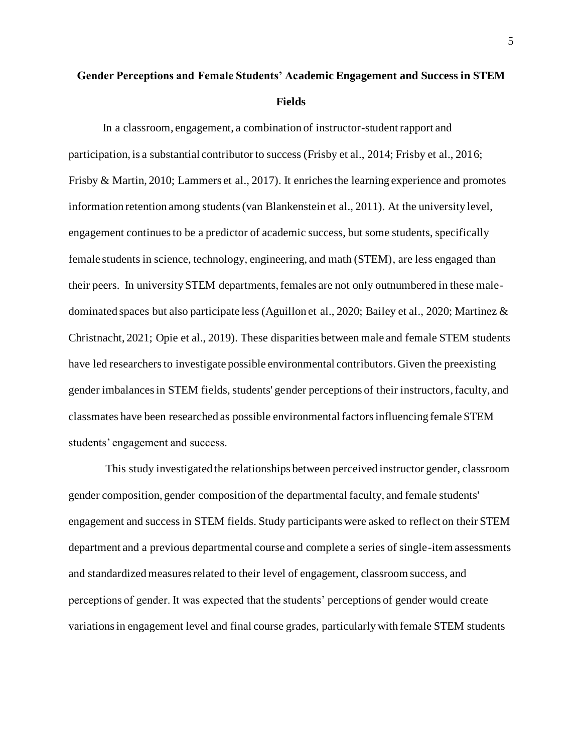# **Gender Perceptions and Female Students' Academic Engagement and Success in STEM Fields**

In a classroom, engagement, a combination of instructor-student rapport and participation, is a substantial contributor to success (Frisby et al., 2014; Frisby et al., 2016; Frisby & Martin, 2010; Lammers et al., 2017). It enriches the learning experience and promotes information retention among students (van Blankenstein et al., 2011). At the university level, engagement continues to be a predictor of academic success, but some students, specifically female students in science, technology, engineering, and math (STEM), are less engaged than their peers. In university STEM departments, females are not only outnumbered in these maledominated spaces but also participate less (Aguillon et al., 2020; Bailey et al., 2020; Martinez & Christnacht, 2021; Opie et al., 2019). These disparities between male and female STEM students have led researchers to investigate possible environmental contributors. Given the preexisting gender imbalances in STEM fields, students' gender perceptions of their instructors, faculty, and classmates have been researched as possible environmental factors influencing female STEM students' engagement and success.

This study investigated the relationships between perceived instructor gender, classroom gender composition, gender composition of the departmental faculty, and female students' engagement and success in STEM fields. Study participants were asked to reflect on their STEM department and a previous departmental course and complete a series of single-item assessments and standardized measures related to their level of engagement, classroom success, and perceptions of gender. It was expected that the students' perceptions of gender would create variations in engagement level and final course grades, particularly with female STEM students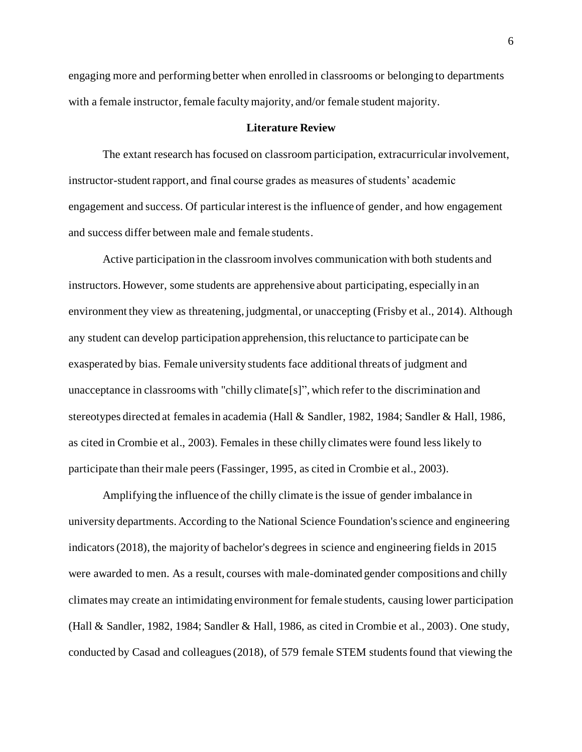engaging more and performing better when enrolled in classrooms or belonging to departments with a female instructor, female faculty majority, and/or female student majority.

#### **Literature Review**

<span id="page-6-0"></span>The extant research has focused on classroom participation, extracurricular involvement, instructor-student rapport, and final course grades as measures of students' academic engagement and success. Of particular interest is the influence of gender, and how engagement and success differ between male and female students.

Active participation in the classroom involves communication with both students and instructors. However, some students are apprehensive about participating, especially in an environment they view as threatening, judgmental, or unaccepting (Frisby et al., 2014). Although any student can develop participation apprehension, this reluctance to participate can be exasperated by bias. Female university students face additional threats of judgment and unacceptance in classrooms with "chilly climate[s]", which refer to the discrimination and stereotypes directed at females in academia (Hall & Sandler, 1982, 1984; Sandler & Hall, 1986, as cited in Crombie et al., 2003). Females in these chilly climates were found less likely to participate than their male peers (Fassinger, 1995, as cited in Crombie et al., 2003).

Amplifying the influence of the chilly climate is the issue of gender imbalance in university departments. According to the National Science Foundation's science and engineering indicators (2018), the majority of bachelor's degrees in science and engineering fields in 2015 were awarded to men. As a result, courses with male-dominated gender compositions and chilly climates may create an intimidating environment for female students, causing lower participation (Hall & Sandler, 1982, 1984; Sandler & Hall, 1986, as cited in Crombie et al., 2003). One study, conducted by Casad and colleagues (2018), of 579 female STEM students found that viewing the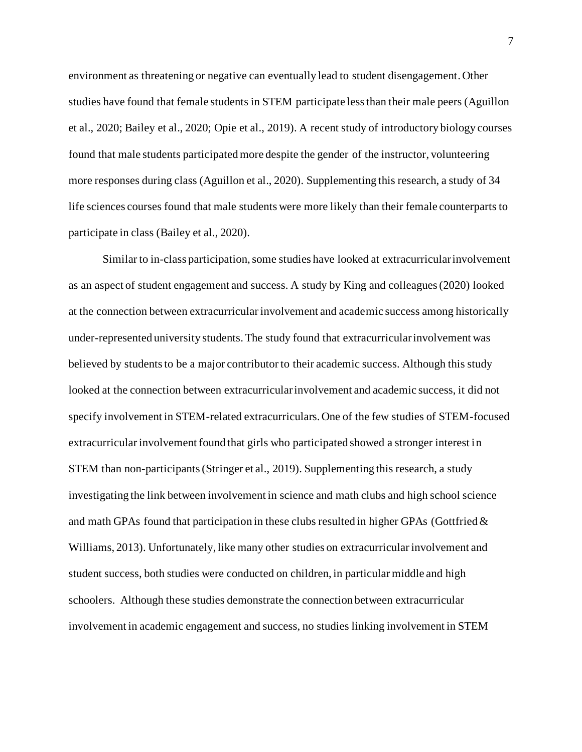environment as threatening or negative can eventually lead to student disengagement. Other studies have found that female students in STEM participate less than their male peers (Aguillon et al., 2020; Bailey et al., 2020; Opie et al., 2019). A recent study of introductory biology courses found that male students participated more despite the gender of the instructor, volunteering more responses during class (Aguillon et al., 2020). Supplementing this research, a study of 34 life sciences courses found that male students were more likely than their female counterparts to participate in class (Bailey et al., 2020).

Similar to in-class participation, some studies have looked at extracurricular involvement as an aspect of student engagement and success. A study by King and colleagues (2020) looked at the connection between extracurricular involvement and academic success among historically under-represented university students. The study found that extracurricular involvement was believed by students to be a major contributor to their academic success. Although this study looked at the connection between extracurricular involvement and academic success, it did not specify involvement in STEM-related extracurriculars. One of the few studies of STEM-focused extracurricular involvement found that girls who participated showed a stronger interest in STEM than non-participants (Stringer et al., 2019). Supplementing this research, a study investigating the link between involvement in science and math clubs and high school science and math GPAs found that participation in these clubs resulted in higher GPAs (Gottfried  $\&$ Williams, 2013). Unfortunately, like many other studies on extracurricular involvement and student success, both studies were conducted on children, in particular middle and high schoolers. Although these studies demonstrate the connection between extracurricular involvement in academic engagement and success, no studies linking involvement in STEM

7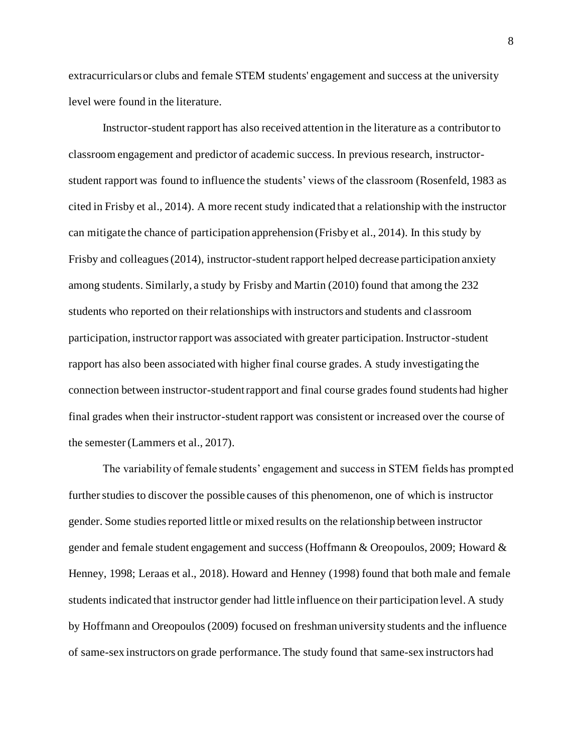extracurriculars or clubs and female STEM students' engagement and success at the university level were found in the literature.

Instructor-student rapport has also received attention in the literature as a contributor to classroom engagement and predictor of academic success. In previous research, instructorstudent rapport was found to influence the students' views of the classroom (Rosenfeld, 1983 as cited in Frisby et al., 2014). A more recent study indicated that a relationship with the instructor can mitigate the chance of participation apprehension (Frisby et al., 2014). In this study by Frisby and colleagues (2014), instructor-student rapport helped decrease participation anxiety among students. Similarly, a study by Frisby and Martin (2010) found that among the 232 students who reported on their relationships with instructors and students and classroom participation, instructor rapport was associated with greater participation. Instructor-student rapport has also been associated with higher final course grades. A study investigating the connection between instructor-student rapport and final course grades found students had higher final grades when their instructor-student rapport was consistent or increased over the course of the semester (Lammers et al., 2017).

The variability of female students' engagement and success in STEM fields has prompted further studies to discover the possible causes of this phenomenon, one of which is instructor gender. Some studies reported little or mixed results on the relationship between instructor gender and female student engagement and success (Hoffmann & Oreopoulos, 2009; Howard & Henney, 1998; Leraas et al., 2018). Howard and Henney (1998) found that both male and female students indicated that instructor gender had little influence on their participation level. A study by Hoffmann and Oreopoulos (2009) focused on freshman university students and the influence of same-sex instructors on grade performance. The study found that same-sex instructors had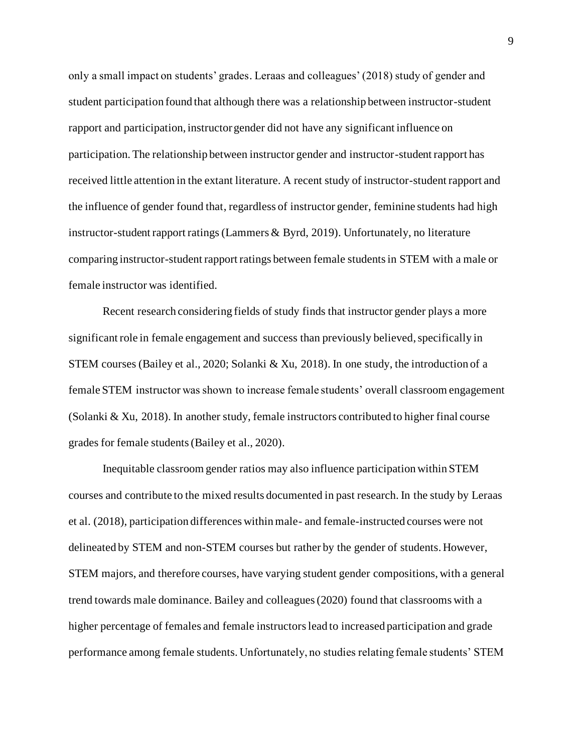only a small impact on students' grades. Leraas and colleagues' (2018) study of gender and student participation found that although there was a relationship between instructor-student rapport and participation, instructor gender did not have any significant influence on participation. The relationship between instructor gender and instructor-student rapport has received little attention in the extant literature. A recent study of instructor-student rapport and the influence of gender found that, regardless of instructor gender, feminine students had high instructor-student rapport ratings (Lammers & Byrd, 2019). Unfortunately, no literature comparing instructor-student rapport ratings between female students in STEM with a male or female instructor was identified.

Recent research considering fields of study finds that instructor gender plays a more significant role in female engagement and success than previously believed, specifically in STEM courses (Bailey et al., 2020; Solanki & Xu, 2018). In one study, the introduction of a female STEM instructor was shown to increase female students' overall classroom engagement (Solanki & Xu, 2018). In another study, female instructors contributed to higher final course grades for female students (Bailey et al., 2020).

Inequitable classroom gender ratios may also influence participation within STEM courses and contribute to the mixed results documented in past research. In the study by Leraas et al. (2018), participation differences within male- and female-instructed courses were not delineated by STEM and non-STEM courses but rather by the gender of students. However, STEM majors, and therefore courses, have varying student gender compositions, with a general trend towards male dominance. Bailey and colleagues (2020) found that classrooms with a higher percentage of females and female instructors lead to increased participation and grade performance among female students. Unfortunately, no studies relating female students' STEM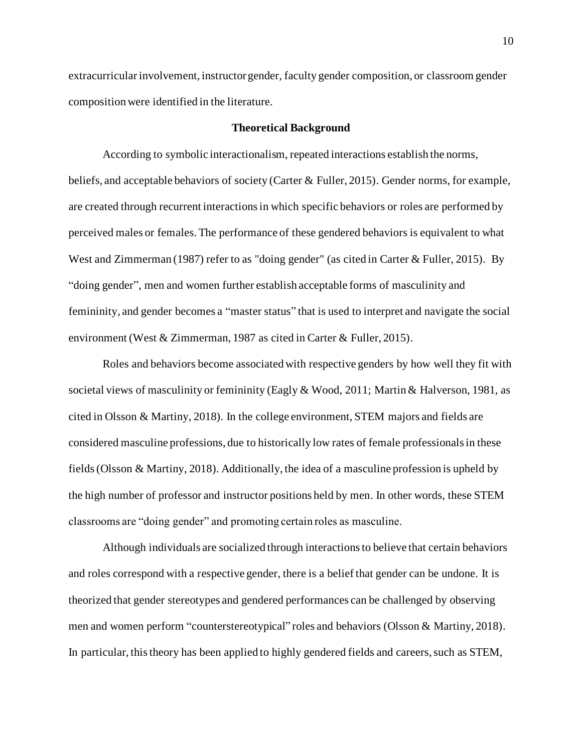extracurricular involvement, instructor gender, faculty gender composition, or classroom gender composition were identified in the literature.

#### **Theoretical Background**

<span id="page-10-0"></span>According to symbolic interactionalism, repeated interactions establish the norms, beliefs, and acceptable behaviors of society (Carter & Fuller, 2015). Gender norms, for example, are created through recurrent interactions in which specific behaviors or roles are performed by perceived males or females. The performance of these gendered behaviors is equivalent to what West and Zimmerman (1987) refer to as "doing gender" (as cited in Carter & Fuller, 2015). By "doing gender", men and women further establish acceptable forms of masculinity and femininity, and gender becomes a "master status" that is used to interpret and navigate the social environment (West & Zimmerman, 1987 as cited in Carter & Fuller, 2015).

Roles and behaviors become associated with respective genders by how well they fit with societal views of masculinity or femininity (Eagly & Wood, 2011; Martin & Halverson, 1981, as cited in Olsson & Martiny, 2018). In the college environment, STEM majors and fields are considered masculine professions, due to historically low rates of female professionals in these fields (Olsson & Martiny, 2018). Additionally, the idea of a masculine profession is upheld by the high number of professor and instructor positions held by men. In other words, these STEM classrooms are "doing gender" and promoting certain roles as masculine.

Although individuals are socialized through interactions to believe that certain behaviors and roles correspond with a respective gender, there is a belief that gender can be undone. It is theorized that gender stereotypes and gendered performances can be challenged by observing men and women perform "counterstereotypical" roles and behaviors (Olsson & Martiny, 2018). In particular, this theory has been applied to highly gendered fields and careers, such as STEM,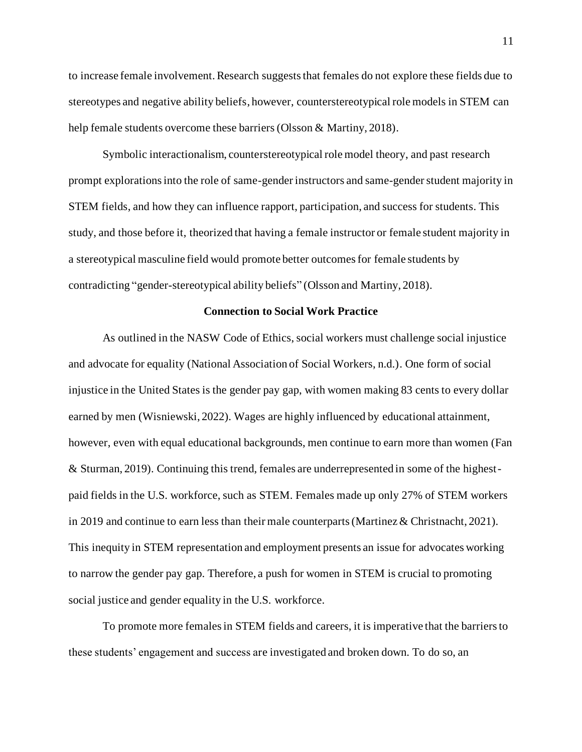to increase female involvement. Research suggests that females do not explore these fields due to stereotypes and negative ability beliefs, however, counterstereotypical role models in STEM can help female students overcome these barriers (Olsson & Martiny, 2018).

Symbolic interactionalism, counterstereotypical role model theory, and past research prompt explorations into the role of same-gender instructors and same-gender student majority in STEM fields, and how they can influence rapport, participation, and success for students. This study, and those before it, theorized that having a female instructor or female student majority in a stereotypical masculine field would promote better outcomes for female students by contradicting "gender-stereotypical ability beliefs" (Olsson and Martiny, 2018).

#### **Connection to Social Work Practice**

<span id="page-11-0"></span>As outlined in the NASW Code of Ethics, social workers must challenge social injustice and advocate for equality (National Association of Social Workers, n.d.). One form of social injustice in the United States is the gender pay gap, with women making 83 cents to every dollar earned by men (Wisniewski, 2022). Wages are highly influenced by educational attainment, however, even with equal educational backgrounds, men continue to earn more than women (Fan & Sturman, 2019). Continuing this trend, females are underrepresented in some of the highestpaid fields in the U.S. workforce, such as STEM. Females made up only 27% of STEM workers in 2019 and continue to earn less than their male counterparts (Martinez & Christnacht, 2021). This inequity in STEM representation and employment presents an issue for advocates working to narrow the gender pay gap. Therefore, a push for women in STEM is crucial to promoting social justice and gender equality in the U.S. workforce.

To promote more females in STEM fields and careers, it is imperative that the barriers to these students' engagement and success are investigated and broken down. To do so, an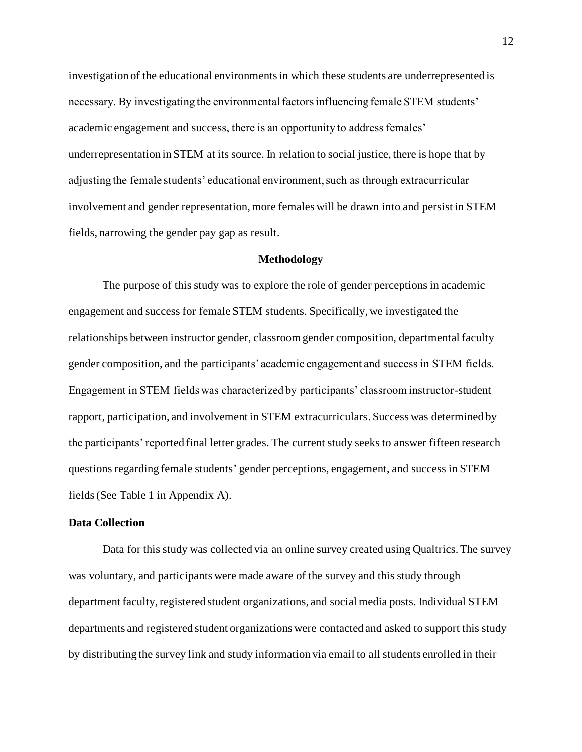investigation of the educational environments in which these students are underrepresented is necessary. By investigating the environmental factors influencing female STEM students' academic engagement and success, there is an opportunity to address females' underrepresentation in STEM at its source. In relation to social justice, there is hope that by adjusting the female students' educational environment, such as through extracurricular involvement and gender representation, more females will be drawn into and persist in STEM fields, narrowing the gender pay gap as result.

#### **Methodology**

<span id="page-12-0"></span>The purpose of this study was to explore the role of gender perceptions in academic engagement and success for female STEM students. Specifically, we investigated the relationships between instructor gender, classroom gender composition, departmental faculty gender composition, and the participants' academic engagement and success in STEM fields. Engagement in STEM fields was characterized by participants' classroom instructor-student rapport, participation, and involvement in STEM extracurriculars. Success was determined by the participants' reported final letter grades. The current study seeks to answer fifteen research questions regarding female students' gender perceptions, engagement, and success in STEM fields(See Table 1 in Appendix A).

#### <span id="page-12-1"></span>**Data Collection**

Data for this study was collected via an online survey created using Qualtrics. The survey was voluntary, and participants were made aware of the survey and this study through department faculty, registered student organizations, and social media posts. Individual STEM departments and registered student organizations were contacted and asked to support this study by distributing the survey link and study information via email to all students enrolled in their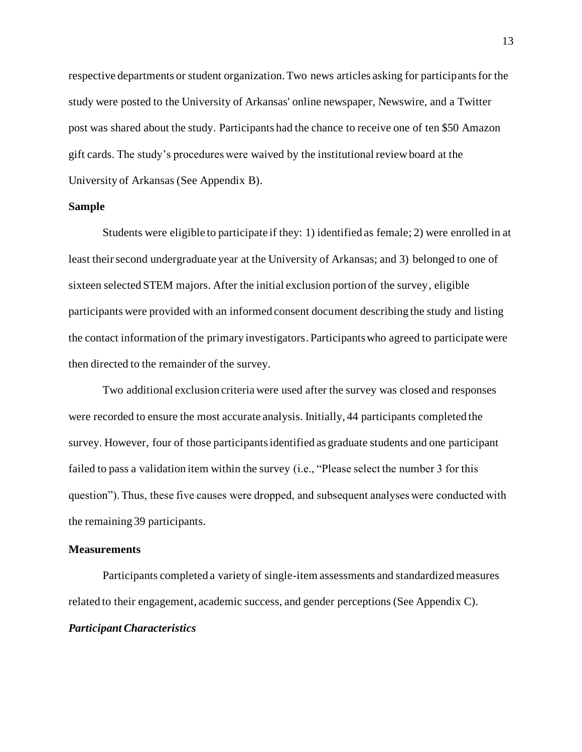respective departments or student organization. Two news articles asking for participants for the study were posted to the University of Arkansas' online newspaper, Newswire, and a Twitter post was shared about the study. Participants had the chance to receive one of ten \$50 Amazon gift cards. The study's procedures were waived by the institutional review board at the University of Arkansas (See Appendix B).

#### <span id="page-13-0"></span>**Sample**

Students were eligible to participate if they: 1) identified as female; 2) were enrolled in at least their second undergraduate year at the University of Arkansas; and 3) belonged to one of sixteen selected STEM majors. After the initial exclusion portion of the survey, eligible participants were provided with an informed consent document describing the study and listing the contact information of the primary investigators. Participants who agreed to participate were then directed to the remainder of the survey.

Two additional exclusion criteria were used after the survey was closed and responses were recorded to ensure the most accurate analysis. Initially, 44 participants completed the survey. However, four of those participants identified as graduate students and one participant failed to pass a validation item within the survey (i.e., "Please select the number 3 for this question"). Thus, these five causes were dropped, and subsequent analyses were conducted with the remaining 39 participants.

#### <span id="page-13-1"></span>**Measurements**

<span id="page-13-2"></span>Participants completed a variety of single-item assessments and standardized measures related to their engagement, academic success, and gender perceptions (See Appendix C). *Participant Characteristics*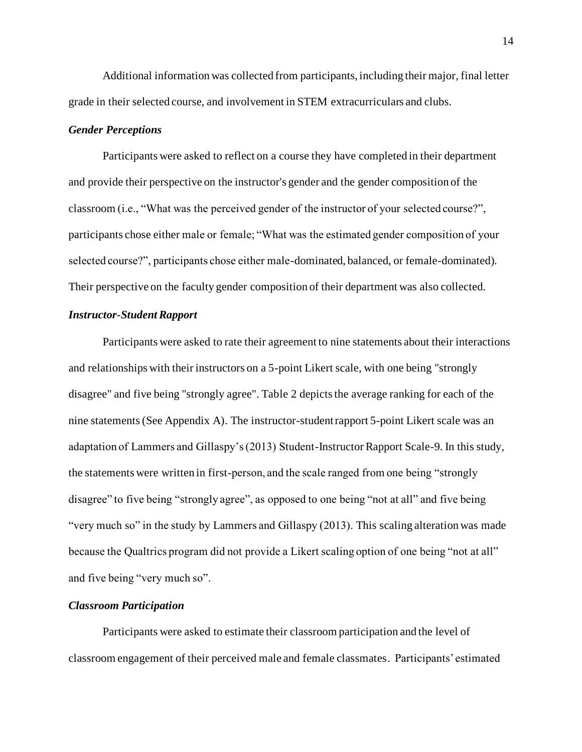Additional information was collected from participants, including their major, final letter grade in their selected course, and involvement in STEM extracurriculars and clubs.

#### <span id="page-14-0"></span>*Gender Perceptions*

Participants were asked to reflect on a course they have completed in their department and provide their perspective on the instructor's gender and the gender composition of the classroom (i.e., "What was the perceived gender of the instructor of your selected course?", participants chose either male or female; "What was the estimated gender composition of your selected course?", participants chose either male-dominated, balanced, or female-dominated). Their perspective on the faculty gender composition of their department was also collected.

#### <span id="page-14-1"></span>*Instructor-Student Rapport*

Participants were asked to rate their agreement to nine statements about their interactions and relationships with their instructors on a 5-point Likert scale, with one being "strongly disagree" and five being "strongly agree". Table 2 depicts the average ranking for each of the nine statements(See Appendix A). The instructor-student rapport 5-point Likert scale was an adaptation of Lammers and Gillaspy's (2013) Student-Instructor Rapport Scale-9. In this study, the statements were written in first-person, and the scale ranged from one being "strongly disagree" to five being "strongly agree", as opposed to one being "not at all" and five being "very much so" in the study by Lammers and Gillaspy (2013). This scaling alteration was made because the Qualtrics program did not provide a Likert scaling option of one being "not at all" and five being "very much so".

## <span id="page-14-2"></span>*Classroom Participation*

Participants were asked to estimate their classroom participation and the level of classroom engagement of their perceived male and female classmates. Participants' estimated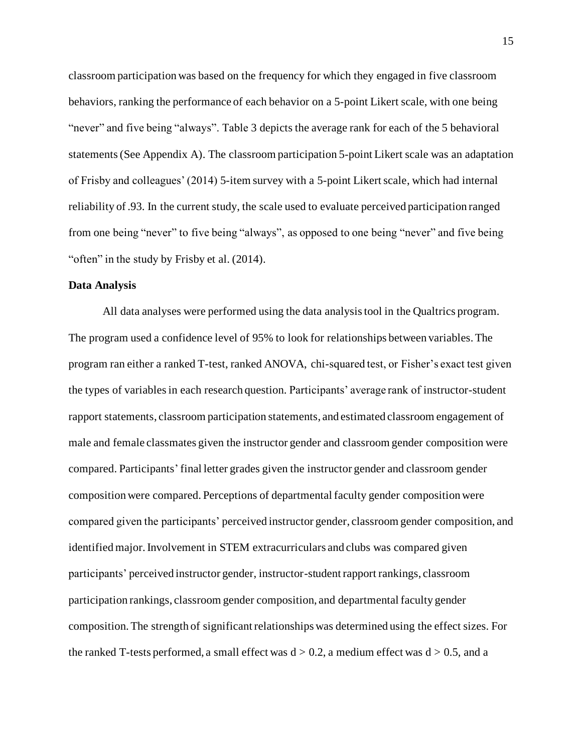classroom participation was based on the frequency for which they engaged in five classroom behaviors, ranking the performance of each behavior on a 5-point Likert scale, with one being "never" and five being "always". Table 3 depicts the average rank for each of the 5 behavioral statements(See Appendix A). The classroom participation 5-point Likert scale was an adaptation of Frisby and colleagues' (2014) 5-item survey with a 5-point Likert scale, which had internal reliability of .93. In the current study, the scale used to evaluate perceived participation ranged from one being "never" to five being "always", as opposed to one being "never" and five being "often" in the study by Frisby et al. (2014).

#### <span id="page-15-0"></span>**Data Analysis**

All data analyses were performed using the data analysis tool in the Qualtrics program. The program used a confidence level of 95% to look for relationships between variables. The program ran either a ranked T-test, ranked ANOVA, chi-squared test, or Fisher's exact test given the types of variables in each research question. Participants' average rank of instructor-student rapport statements, classroom participation statements, and estimated classroom engagement of male and female classmates given the instructor gender and classroom gender composition were compared. Participants'final letter grades given the instructor gender and classroom gender composition were compared. Perceptions of departmental faculty gender composition were compared given the participants' perceived instructor gender, classroom gender composition, and identified major. Involvement in STEM extracurriculars and clubs was compared given participants' perceived instructor gender, instructor-student rapport rankings, classroom participation rankings, classroom gender composition, and departmental faculty gender composition. The strength of significant relationships was determined using the effect sizes. For the ranked T-tests performed, a small effect was  $d > 0.2$ , a medium effect was  $d > 0.5$ , and a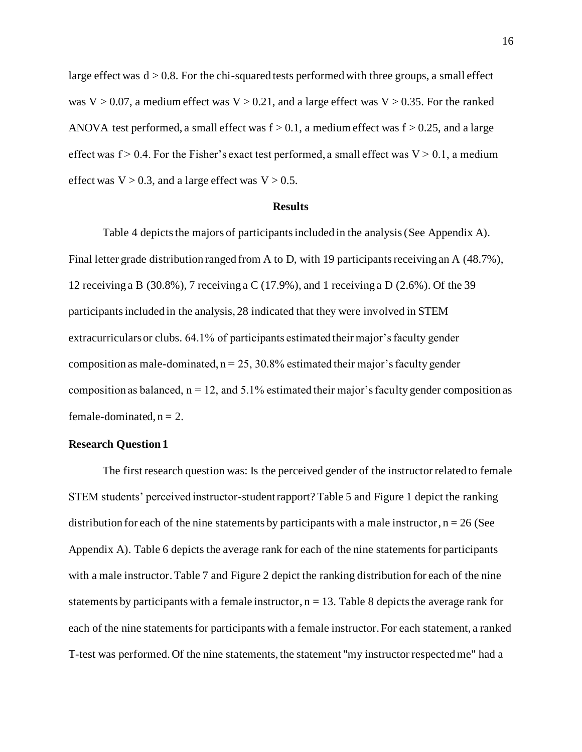large effect was  $d > 0.8$ . For the chi-squared tests performed with three groups, a small effect was  $V > 0.07$ , a medium effect was  $V > 0.21$ , and a large effect was  $V > 0.35$ . For the ranked ANOVA test performed, a small effect was  $f > 0.1$ , a medium effect was  $f > 0.25$ , and a large effect was  $f > 0.4$ . For the Fisher's exact test performed, a small effect was  $V > 0.1$ , a medium effect was  $V > 0.3$ , and a large effect was  $V > 0.5$ .

#### **Results**

<span id="page-16-0"></span>Table 4 depicts the majors of participants included in the analysis (See Appendix A). Final letter grade distribution ranged from A to D, with 19 participants receiving an A (48.7%), 12 receiving a B (30.8%), 7 receiving a C (17.9%), and 1 receiving a D (2.6%). Of the 39 participants included in the analysis, 28 indicated that they were involved in STEM extracurriculars or clubs. 64.1% of participants estimated their major's faculty gender composition as male-dominated,  $n = 25$ , 30.8% estimated their major's faculty gender composition as balanced,  $n = 12$ , and 5.1% estimated their major's faculty gender composition as female-dominated,  $n = 2$ .

#### <span id="page-16-1"></span>**Research Question 1**

The first research question was: Is the perceived gender of the instructor related to female STEM students' perceived instructor-student rapport? Table 5 and Figure 1 depict the ranking distribution for each of the nine statements by participants with a male instructor,  $n = 26$  (See Appendix A). Table 6 depicts the average rank for each of the nine statements for participants with a male instructor. Table 7 and Figure 2 depict the ranking distribution for each of the nine statements by participants with a female instructor,  $n = 13$ . Table 8 depicts the average rank for each of the nine statements for participants with a female instructor. For each statement, a ranked T-test was performed. Of the nine statements, the statement "my instructor respected me" had a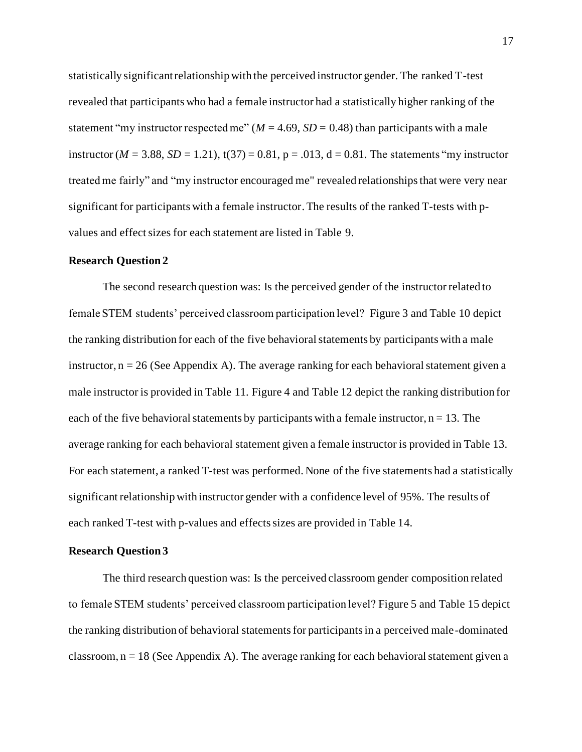statistically significant relationship with the perceived instructor gender. The ranked T-test revealed that participants who had a female instructor had a statistically higher ranking of the statement "my instructor respected me" ( $M = 4.69$ ,  $SD = 0.48$ ) than participants with a male instructor ( $M = 3.88$ ,  $SD = 1.21$ ),  $t(37) = 0.81$ ,  $p = .013$ ,  $d = 0.81$ . The statements "my instructor" treated me fairly" and "my instructor encouraged me" revealed relationships that were very near significant for participants with a female instructor. The results of the ranked T-tests with pvalues and effect sizes for each statement are listed in Table 9.

#### <span id="page-17-0"></span>**Research Question 2**

The second research question was: Is the perceived gender of the instructor related to female STEM students' perceived classroom participation level? Figure 3 and Table 10 depict the ranking distribution for each of the five behavioral statements by participants with a male instructor,  $n = 26$  (See Appendix A). The average ranking for each behavioral statement given a male instructor is provided in Table 11. Figure 4 and Table 12 depict the ranking distribution for each of the five behavioral statements by participants with a female instructor,  $n = 13$ . The average ranking for each behavioral statement given a female instructor is provided in Table 13. For each statement, a ranked T-test was performed. None of the five statements had a statistically significant relationship with instructor gender with a confidence level of 95%. The results of each ranked T-test with p-values and effects sizes are provided in Table 14.

#### <span id="page-17-1"></span>**Research Question 3**

The third research question was: Is the perceived classroom gender composition related to female STEM students' perceived classroom participation level? Figure 5 and Table 15 depict the ranking distribution of behavioral statements for participants in a perceived male-dominated classroom,  $n = 18$  (See Appendix A). The average ranking for each behavioral statement given a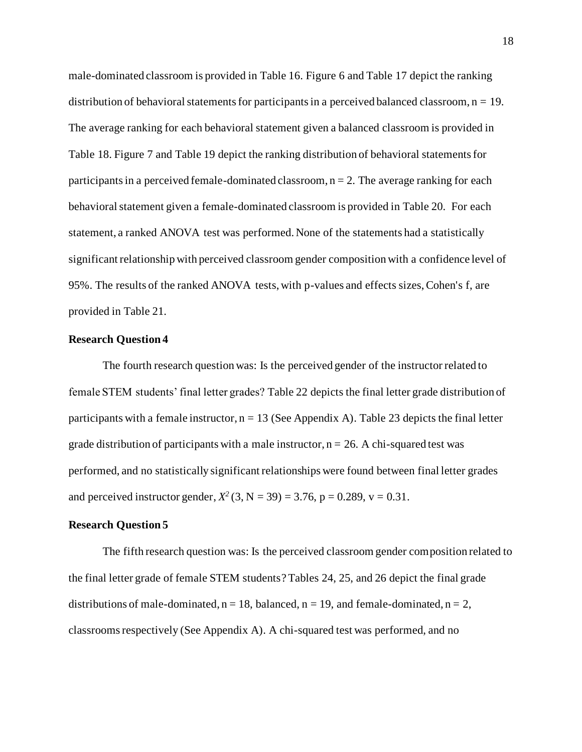male-dominated classroom is provided in Table 16. Figure 6 and Table 17 depict the ranking distribution of behavioral statements for participants in a perceived balanced classroom,  $n = 19$ . The average ranking for each behavioral statement given a balanced classroom is provided in Table 18. Figure 7 and Table 19 depict the ranking distribution of behavioral statements for participants in a perceived female-dominated classroom,  $n = 2$ . The average ranking for each behavioral statement given a female-dominated classroom is provided in Table 20. For each statement, a ranked ANOVA test was performed. None of the statements had a statistically significant relationship with perceived classroom gender composition with a confidence level of 95%. The results of the ranked ANOVA tests, with p-values and effects sizes, Cohen's f, are provided in Table 21.

#### <span id="page-18-0"></span>**Research Question 4**

The fourth research question was: Is the perceived gender of the instructor related to female STEM students' final letter grades? Table 22 depicts the final letter grade distribution of participants with a female instructor,  $n = 13$  (See Appendix A). Table 23 depicts the final letter grade distribution of participants with a male instructor,  $n = 26$ . A chi-squared test was performed, and no statistically significant relationships were found between final letter grades and perceived instructor gender,  $X^2$  (3, N = 39) = 3.76, p = 0.289, v = 0.31.

### <span id="page-18-1"></span>**Research Question 5**

The fifth research question was: Is the perceived classroom gender composition related to the final letter grade of female STEM students? Tables 24, 25, and 26 depict the final grade distributions of male-dominated,  $n = 18$ , balanced,  $n = 19$ , and female-dominated,  $n = 2$ , classrooms respectively (See Appendix A). A chi-squared test was performed, and no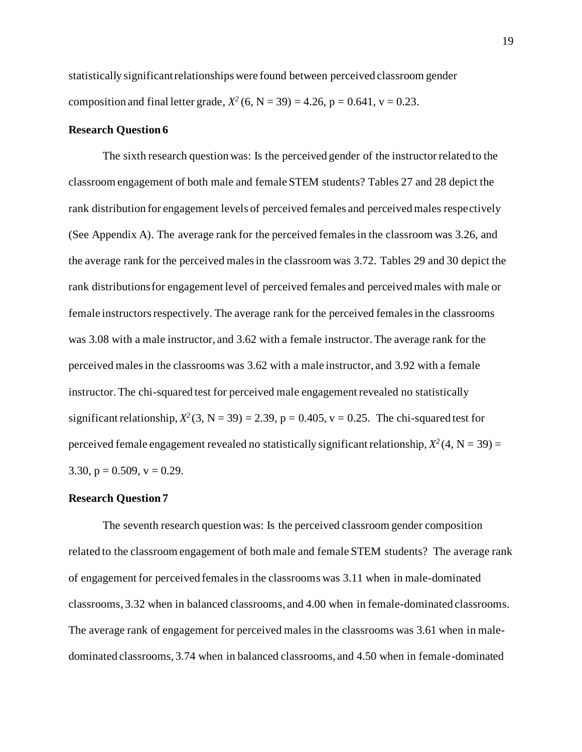statistically significant relationships were found between perceived classroom gender composition and final letter grade,  $X^2$  (6, N = 39) = 4.26, p = 0.641, v = 0.23.

#### <span id="page-19-0"></span>**Research Question 6**

The sixth research question was: Is the perceived gender of the instructor related to the classroom engagement of both male and female STEM students? Tables 27 and 28 depict the rank distribution for engagement levels of perceived females and perceived males respectively (See Appendix A). The average rank for the perceived females in the classroom was 3.26, and the average rank for the perceived males in the classroom was 3.72. Tables 29 and 30 depict the rank distributions for engagement level of perceived females and perceived males with male or female instructors respectively. The average rank for the perceived females in the classrooms was 3.08 with a male instructor, and 3.62 with a female instructor. The average rank for the perceived males in the classrooms was 3.62 with a male instructor, and 3.92 with a female instructor. The chi-squared test for perceived male engagement revealed no statistically significant relationship,  $X^2$  (3, N = 39) = 2.39, p = 0.405, v = 0.25. The chi-squared test for perceived female engagement revealed no statistically significant relationship,  $X^2(4, N = 39) =$ 3.30,  $p = 0.509$ ,  $v = 0.29$ .

#### <span id="page-19-1"></span>**Research Question 7**

The seventh research question was: Is the perceived classroom gender composition related to the classroom engagement of both male and female STEM students? The average rank of engagement for perceived females in the classrooms was 3.11 when in male-dominated classrooms, 3.32 when in balanced classrooms, and 4.00 when in female-dominated classrooms. The average rank of engagement for perceived males in the classrooms was 3.61 when in maledominated classrooms, 3.74 when in balanced classrooms, and 4.50 when in female-dominated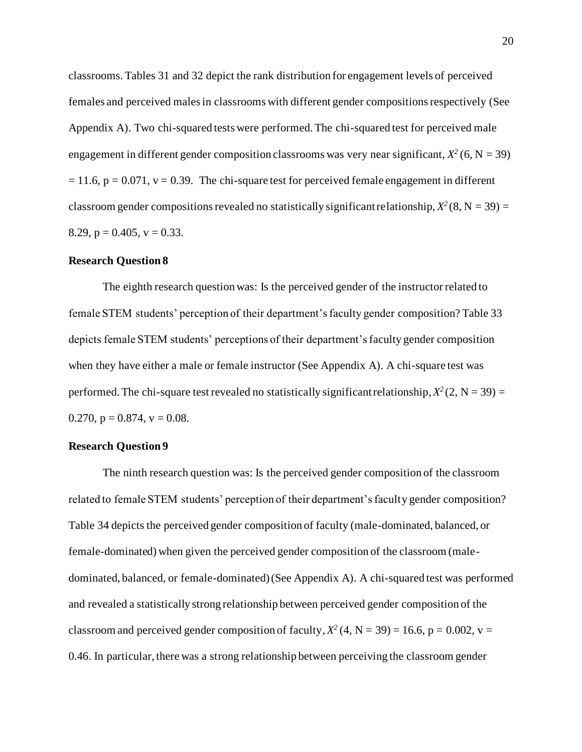classrooms. Tables 31 and 32 depict the rank distribution for engagement levels of perceived females and perceived males in classrooms with different gender compositions respectively (See Appendix A). Two chi-squared tests were performed. The chi-squared test for perceived male engagement in different gender composition classrooms was very near significant,  $X^2$  (6, N = 39)  $= 11.6$ ,  $p = 0.071$ ,  $v = 0.39$ . The chi-square test for perceived female engagement in different classroom gender compositions revealed no statistically significant relationship,  $X^2(8, N = 39) =$ 8.29,  $p = 0.405$ ,  $v = 0.33$ .

#### <span id="page-20-0"></span>**Research Question 8**

The eighth research question was: Is the perceived gender of the instructor related to female STEM students' perception of their department's faculty gender composition? Table 33 depicts female STEM students' perceptions of their department'sfaculty gender composition when they have either a male or female instructor (See Appendix A). A chi-square test was performed. The chi-square test revealed no statistically significant relationship,  $X^2(2, N = 39) =$ 0.270,  $p = 0.874$ ,  $v = 0.08$ .

#### <span id="page-20-1"></span>**Research Question 9**

The ninth research question was: Is the perceived gender composition of the classroom related to female STEM students' perception of their department's faculty gender composition? Table 34 depicts the perceived gender composition of faculty (male-dominated, balanced, or female-dominated) when given the perceived gender composition of the classroom (maledominated, balanced, or female-dominated)(See Appendix A). A chi-squared test was performed and revealed a statistically strong relationship between perceived gender composition of the classroom and perceived gender composition of faculty,  $X^2$  (4, N = 39) = 16.6, p = 0.002, v = 0.46. In particular, there was a strong relationship between perceiving the classroom gender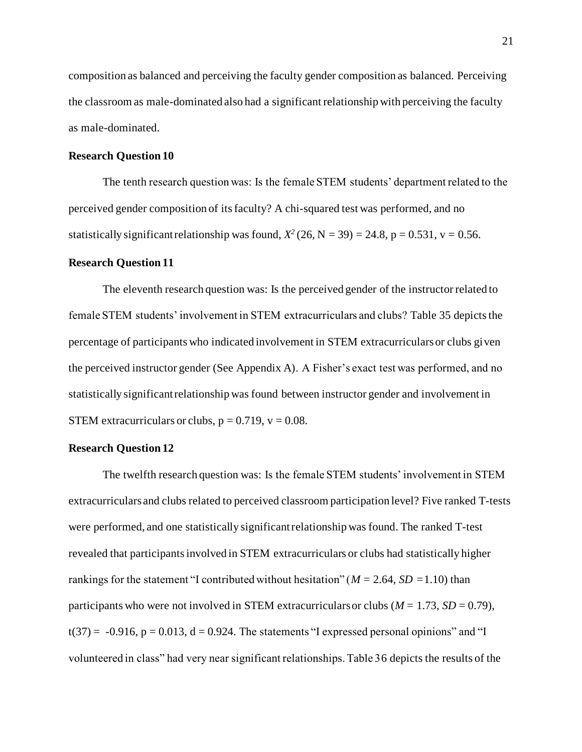composition as balanced and perceiving the faculty gender composition as balanced. Perceiving the classroom as male-dominated also had a significant relationship with perceiving the faculty as male-dominated.

#### <span id="page-21-0"></span>**Research Question 10**

The tenth research question was: Is the female STEM students' department related to the perceived gender composition of its faculty? A chi-squared test was performed, and no statistically significant relationship was found,  $X^2$  (26, N = 39) = 24.8, p = 0.531, v = 0.56.

#### <span id="page-21-1"></span>**Research Question 11**

The eleventh research question was: Is the perceived gender of the instructor related to female STEM students' involvement in STEM extracurriculars and clubs? Table 35 depicts the percentage of participants who indicated involvement in STEM extracurriculars or clubs given the perceived instructor gender (See Appendix A). A Fisher's exact test was performed, and no statistically significant relationship was found between instructor gender and involvement in STEM extracurriculars or clubs,  $p = 0.719$ ,  $v = 0.08$ .

## <span id="page-21-2"></span>**Research Question 12**

The twelfth research question was: Is the female STEM students' involvement in STEM extracurriculars and clubs related to perceived classroom participation level? Five ranked T-tests were performed, and one statistically significant relationship was found. The ranked T-test revealed that participants involved in STEM extracurriculars or clubs had statistically higher rankings for the statement "I contributed without hesitation" (*M =* 2.64, *SD =*1.10) than participants who were not involved in STEM extracurriculars or clubs  $(M = 1.73, SD = 0.79)$ ,  $t(37) = -0.916$ ,  $p = 0.013$ ,  $d = 0.924$ . The statements "I expressed personal opinions" and "I volunteered in class" had very near significant relationships. Table 36 depicts the results of the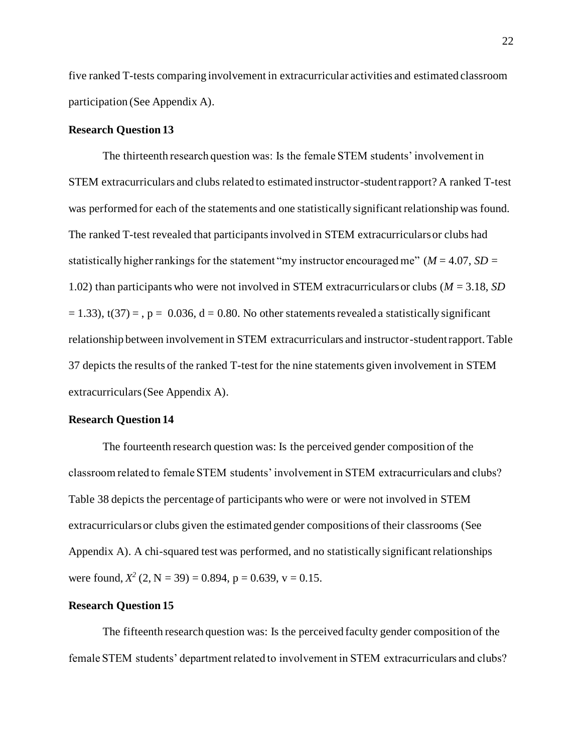five ranked T-tests comparing involvement in extracurricular activities and estimated classroom participation (See Appendix A).

#### <span id="page-22-0"></span>**Research Question 13**

The thirteenth research question was: Is the female STEM students' involvement in STEM extracurriculars and clubs related to estimated instructor-student rapport? A ranked T-test was performed for each of the statements and one statistically significant relationship was found. The ranked T-test revealed that participants involved in STEM extracurriculars or clubs had statistically higher rankings for the statement "my instructor encouraged me" (*M* = 4.07, *SD* = 1.02) than participants who were not involved in STEM extracurriculars or clubs (*M* = 3.18, *SD*   $(1, 33)$ , t(37) = , p = 0.036, d = 0.80. No other statements revealed a statistically significant relationship between involvement in STEM extracurriculars and instructor-student rapport. Table 37 depicts the results of the ranked T-test for the nine statements given involvement in STEM extracurriculars(See Appendix A).

#### <span id="page-22-1"></span>**Research Question 14**

The fourteenth research question was: Is the perceived gender composition of the classroom related to female STEM students' involvement in STEM extracurriculars and clubs? Table 38 depicts the percentage of participants who were or were not involved in STEM extracurriculars or clubs given the estimated gender compositions of their classrooms (See Appendix A). A chi-squared test was performed, and no statistically significant relationships were found,  $X^2$  (2, N = 39) = 0.894, p = 0.639, v = 0.15.

## <span id="page-22-2"></span>**Research Question 15**

The fifteenth research question was: Is the perceived faculty gender composition of the female STEM students' department related to involvement in STEM extracurriculars and clubs?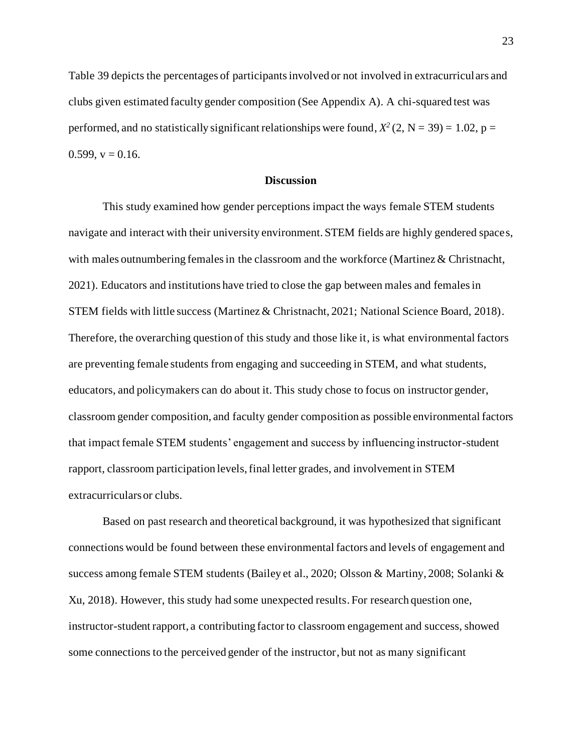Table 39 depicts the percentages of participants involved or not involved in extracurriculars and clubs given estimated faculty gender composition (See Appendix A). A chi-squared test was performed, and no statistically significant relationships were found,  $X^2$  (2, N = 39) = 1.02, p =  $0.599$ ,  $v = 0.16$ .

#### **Discussion**

<span id="page-23-0"></span>This study examined how gender perceptions impact the ways female STEM students navigate and interact with their university environment. STEM fields are highly gendered spaces, with males outnumbering females in the classroom and the workforce (Martinez & Christnacht, 2021). Educators and institutions have tried to close the gap between males and females in STEM fields with little success (Martinez & Christnacht, 2021; National Science Board, 2018). Therefore, the overarching question of this study and those like it, is what environmental factors are preventing female students from engaging and succeeding in STEM, and what students, educators, and policymakers can do about it. This study chose to focus on instructor gender, classroom gender composition, and faculty gender composition as possible environmental factors that impact female STEM students' engagement and success by influencing instructor-student rapport, classroom participation levels, final letter grades, and involvement in STEM extracurriculars or clubs.

Based on past research and theoretical background, it was hypothesized that significant connections would be found between these environmental factors and levels of engagement and success among female STEM students (Bailey et al., 2020; Olsson & Martiny, 2008; Solanki & Xu, 2018). However, this study had some unexpected results. For research question one, instructor-student rapport, a contributing factor to classroom engagement and success, showed some connections to the perceived gender of the instructor, but not as many significant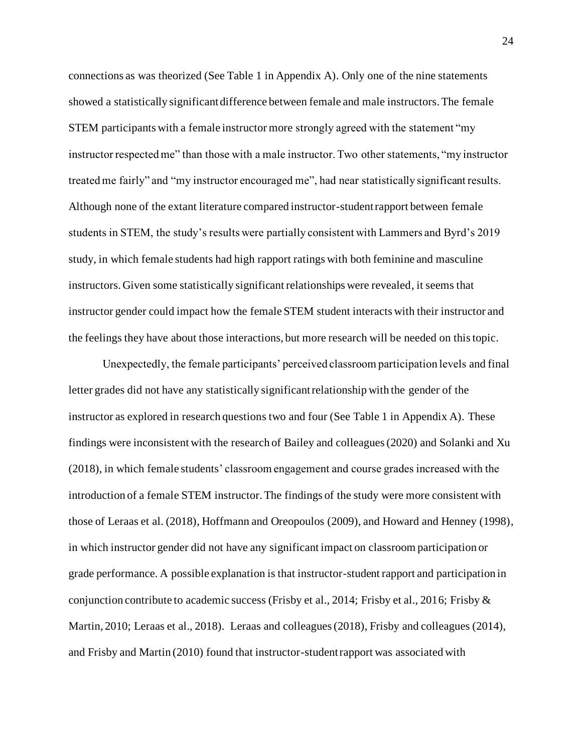connections as was theorized (See Table 1 in Appendix A). Only one of the nine statements showed a statistically significant difference between female and male instructors. The female STEM participants with a female instructor more strongly agreed with the statement "my instructor respected me" than those with a male instructor. Two other statements, "my instructor treated me fairly" and "my instructor encouraged me", had near statistically significant results. Although none of the extant literature compared instructor-student rapport between female students in STEM, the study's results were partially consistent with Lammers and Byrd's 2019 study, in which female students had high rapport ratings with both feminine and masculine instructors. Given some statistically significant relationships were revealed, it seems that instructor gender could impact how the female STEM student interacts with their instructor and the feelings they have about those interactions, but more research will be needed on this topic.

Unexpectedly, the female participants' perceived classroom participation levels and final letter grades did not have any statistically significant relationship with the gender of the instructor as explored in research questions two and four (See Table 1 in Appendix A). These findings were inconsistent with the research of Bailey and colleagues (2020) and Solanki and Xu (2018), in which female students' classroom engagement and course grades increased with the introduction of a female STEM instructor. The findings of the study were more consistent with those of Leraas et al. (2018), Hoffmann and Oreopoulos (2009), and Howard and Henney (1998), in which instructor gender did not have any significant impact on classroom participation or grade performance. A possible explanation is that instructor-student rapport and participation in conjunction contribute to academic success (Frisby et al., 2014; Frisby et al., 2016; Frisby & Martin, 2010; Leraas et al., 2018). Leraas and colleagues (2018), Frisby and colleagues (2014), and Frisby and Martin (2010) found that instructor-student rapport was associated with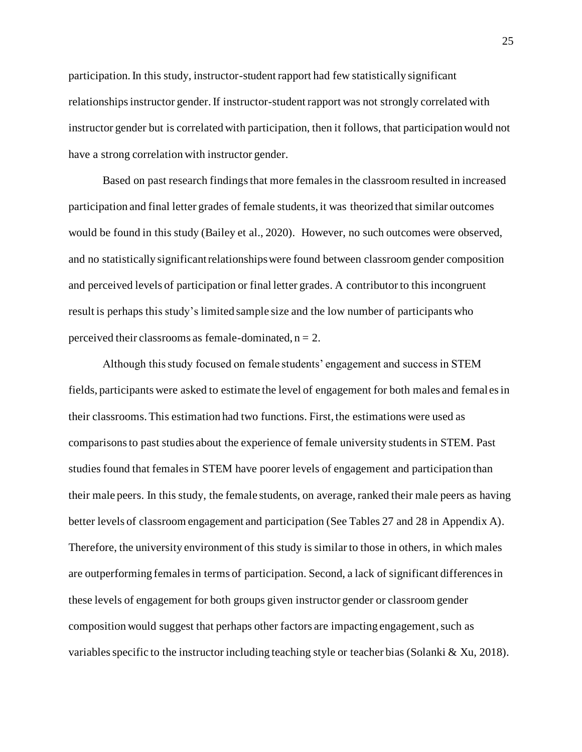participation. In this study, instructor-student rapport had few statistically significant relationships instructor gender. If instructor-student rapport was not strongly correlated with instructor gender but is correlated with participation, then it follows, that participation would not have a strong correlation with instructor gender.

Based on past research findings that more females in the classroom resulted in increased participation and final letter grades of female students, it was theorized that similar outcomes would be found in this study (Bailey et al., 2020). However, no such outcomes were observed, and no statistically significant relationships were found between classroom gender composition and perceived levels of participation or final letter grades. A contributor to this incongruent result is perhaps this study's limited sample size and the low number of participants who perceived their classrooms as female-dominated,  $n = 2$ .

Although this study focused on female students' engagement and success in STEM fields, participants were asked to estimate the level of engagement for both males and femal es in their classrooms. This estimation had two functions. First, the estimations were used as comparisons to past studies about the experience of female university students in STEM. Past studies found that females in STEM have poorer levels of engagement and participation than their male peers. In this study, the female students, on average, ranked their male peers as having better levels of classroom engagement and participation (See Tables 27 and 28 in Appendix A). Therefore, the university environment of this study is similar to those in others, in which males are outperforming females in terms of participation. Second, a lack of significant differences in these levels of engagement for both groups given instructor gender or classroom gender composition would suggest that perhaps other factors are impacting engagement, such as variables specific to the instructor including teaching style or teacher bias (Solanki & Xu, 2018).

25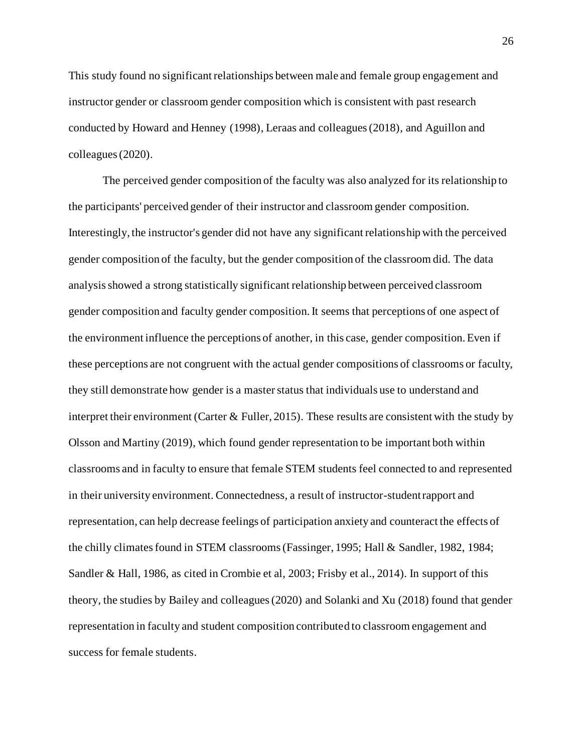This study found no significant relationships between male and female group engagement and instructor gender or classroom gender composition which is consistent with past research conducted by Howard and Henney (1998), Leraas and colleagues (2018), and Aguillon and colleagues (2020).

The perceived gender composition of the faculty was also analyzed for its relationship to the participants' perceived gender of their instructor and classroom gender composition. Interestingly, the instructor's gender did not have any significant relationship with the perceived gender composition of the faculty, but the gender composition of the classroom did. The data analysis showed a strong statistically significant relationship between perceived classroom gender composition and faculty gender composition. It seems that perceptions of one aspect of the environment influence the perceptions of another, in this case, gender composition. Even if these perceptions are not congruent with the actual gender compositions of classrooms or faculty, they still demonstrate how gender is a master status that individuals use to understand and interpret their environment (Carter  $\&$  Fuller, 2015). These results are consistent with the study by Olsson and Martiny (2019), which found gender representation to be important both within classrooms and in faculty to ensure that female STEM students feel connected to and represented in their university environment. Connectedness, a result of instructor-student rapport and representation, can help decrease feelings of participation anxiety and counteract the effects of the chilly climates found in STEM classrooms (Fassinger, 1995; Hall & Sandler, 1982, 1984; Sandler & Hall, 1986, as cited in Crombie et al, 2003; Frisby et al., 2014). In support of this theory, the studies by Bailey and colleagues (2020) and Solanki and Xu (2018) found that gender representation in faculty and student composition contributed to classroom engagement and success for female students.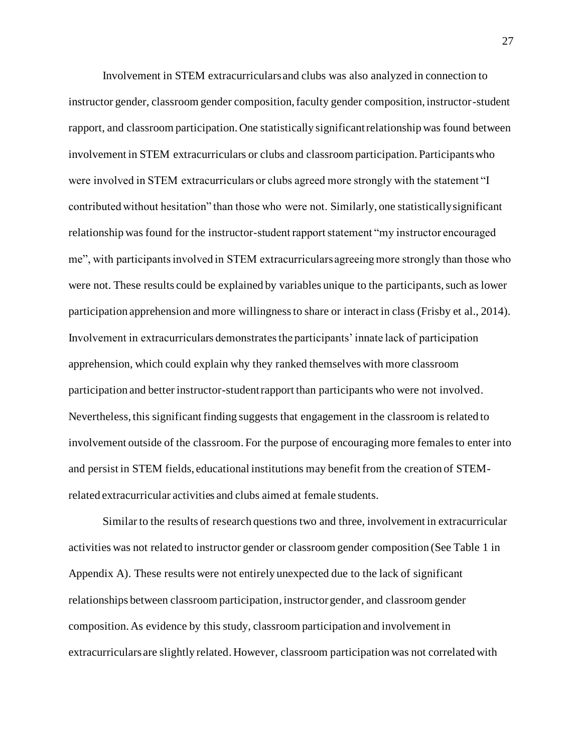Involvement in STEM extracurriculars and clubs was also analyzed in connection to instructor gender, classroom gender composition, faculty gender composition, instructor-student rapport, and classroom participation. One statistically significant relationship was found between involvement in STEM extracurriculars or clubs and classroom participation. Participants who were involved in STEM extracurriculars or clubs agreed more strongly with the statement "I contributed without hesitation" than those who were not. Similarly, one statistically significant relationship was found for the instructor-student rapport statement "my instructor encouraged me", with participants involved in STEM extracurriculars agreeing more strongly than those who were not. These results could be explained by variables unique to the participants, such as lower participation apprehension and more willingness to share or interact in class (Frisby et al., 2014). Involvement in extracurriculars demonstrates the participants' innate lack of participation apprehension, which could explain why they ranked themselves with more classroom participation and better instructor-student rapport than participants who were not involved. Nevertheless, this significant finding suggests that engagement in the classroom is related to involvement outside of the classroom. For the purpose of encouraging more females to enter into and persist in STEM fields, educational institutions may benefit from the creation of STEMrelated extracurricular activities and clubs aimed at female students.

Similar to the results of research questions two and three, involvement in extracurricular activities was not related to instructor gender or classroom gender composition (See Table 1 in Appendix A). These results were not entirely unexpected due to the lack of significant relationships between classroom participation, instructor gender, and classroom gender composition. As evidence by this study, classroom participation and involvement in extracurriculars are slightly related. However, classroom participation was not correlated with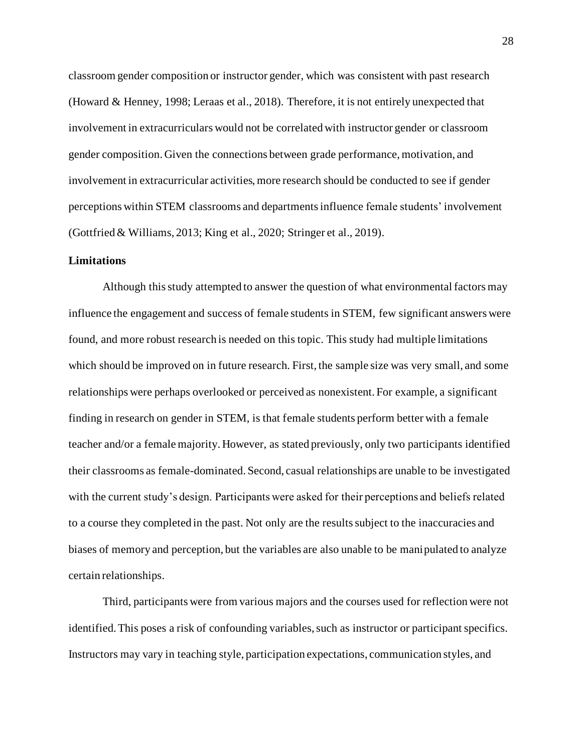classroom gender composition or instructor gender, which was consistent with past research (Howard & Henney, 1998; Leraas et al., 2018). Therefore, it is not entirely unexpected that involvement in extracurriculars would not be correlated with instructor gender or classroom gender composition. Given the connections between grade performance, motivation, and involvement in extracurricular activities, more research should be conducted to see if gender perceptions within STEM classrooms and departments influence female students' involvement (Gottfried & Williams, 2013; King et al., 2020; Stringer et al., 2019).

#### <span id="page-28-0"></span>**Limitations**

Although this study attempted to answer the question of what environmental factors may influence the engagement and success of female students in STEM, few significant answers were found, and more robust research is needed on this topic. This study had multiple limitations which should be improved on in future research. First, the sample size was very small, and some relationships were perhaps overlooked or perceived as nonexistent. For example, a significant finding in research on gender in STEM, is that female students perform better with a female teacher and/or a female majority. However, as stated previously, only two participants identified their classrooms as female-dominated. Second, casual relationships are unable to be investigated with the current study's design. Participants were asked for their perceptions and beliefs related to a course they completed in the past. Not only are the results subject to the inaccuracies and biases of memory and perception, but the variables are also unable to be manipulated to analyze certain relationships.

Third, participants were from various majors and the courses used for reflection were not identified. This poses a risk of confounding variables, such as instructor or participant specifics. Instructors may vary in teaching style, participation expectations, communication styles, and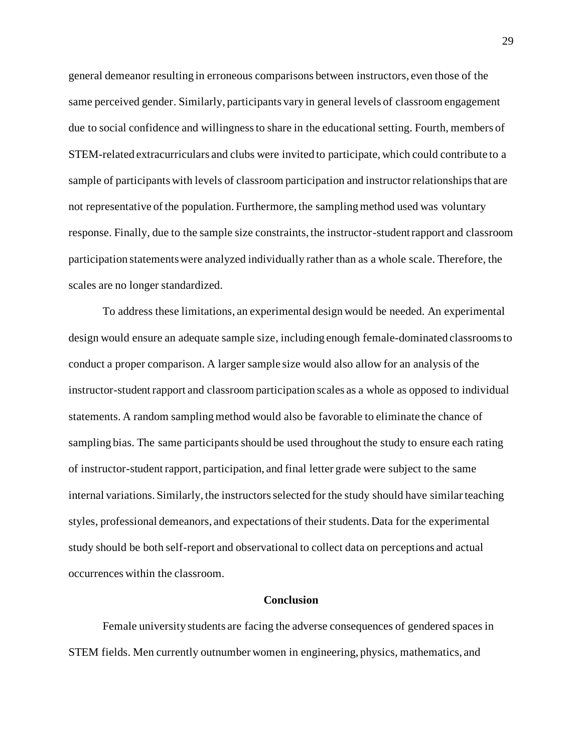general demeanor resulting in erroneous comparisons between instructors, even those of the same perceived gender. Similarly, participants vary in general levels of classroom engagement due to social confidence and willingness to share in the educational setting. Fourth, members of STEM-related extracurriculars and clubs were invited to participate, which could contribute to a sample of participants with levels of classroom participation and instructor relationships that are not representative of the population. Furthermore, the sampling method used was voluntary response. Finally, due to the sample size constraints, the instructor-student rapport and classroom participation statements were analyzed individually rather than as a whole scale. Therefore, the scales are no longer standardized.

To address these limitations, an experimental design would be needed. An experimental design would ensure an adequate sample size, including enough female-dominated classrooms to conduct a proper comparison. A larger sample size would also allow for an analysis of the instructor-student rapport and classroom participation scales as a whole as opposed to individual statements. A random sampling method would also be favorable to eliminate the chance of sampling bias. The same participants should be used throughout the study to ensure each rating of instructor-student rapport, participation, and final letter grade were subject to the same internal variations. Similarly, the instructors selected for the study should have similar teaching styles, professional demeanors, and expectations of their students. Data for the experimental study should be both self-report and observational to collect data on perceptions and actual occurrences within the classroom.

#### **Conclusion**

<span id="page-29-0"></span>Female university students are facing the adverse consequences of gendered spaces in STEM fields. Men currently outnumber women in engineering, physics, mathematics, and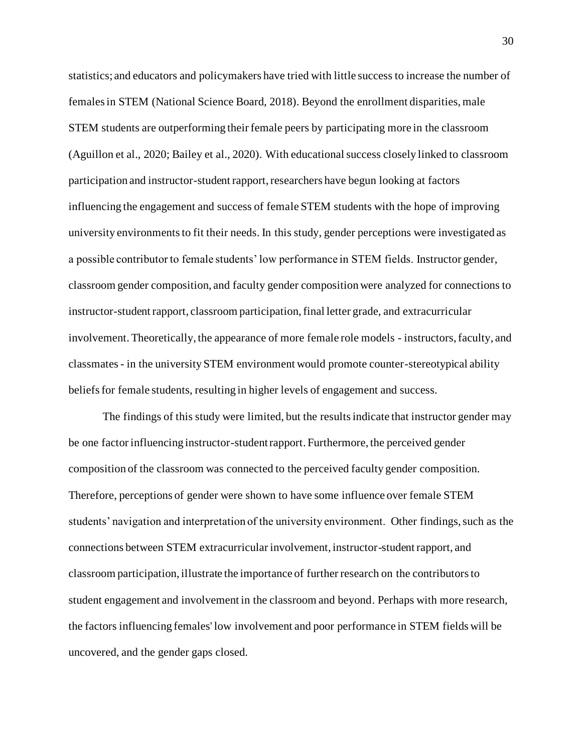statistics; and educators and policymakers have tried with little success to increase the number of females in STEM (National Science Board, 2018). Beyond the enrollment disparities, male STEM students are outperforming their female peers by participating more in the classroom (Aguillon et al., 2020; Bailey et al., 2020). With educational success closely linked to classroom participation and instructor-student rapport, researchers have begun looking at factors influencing the engagement and success of female STEM students with the hope of improving university environments to fit their needs. In this study, gender perceptions were investigated as a possible contributor to female students' low performance in STEM fields. Instructor gender, classroom gender composition, and faculty gender composition were analyzed for connections to instructor-student rapport, classroom participation, final letter grade, and extracurricular involvement. Theoretically, the appearance of more female role models - instructors, faculty, and classmates - in the university STEM environment would promote counter-stereotypical ability beliefs for female students, resulting in higher levels of engagement and success.

The findings of this study were limited, but the results indicate that instructor gender may be one factor influencing instructor-student rapport. Furthermore, the perceived gender composition of the classroom was connected to the perceived faculty gender composition. Therefore, perceptions of gender were shown to have some influence over female STEM students' navigation and interpretation of the university environment. Other findings, such as the connections between STEM extracurricular involvement, instructor-student rapport, and classroom participation, illustrate the importance of further research on the contributors to student engagement and involvement in the classroom and beyond. Perhaps with more research, the factors influencing females' low involvement and poor performance in STEM fields will be uncovered, and the gender gaps closed.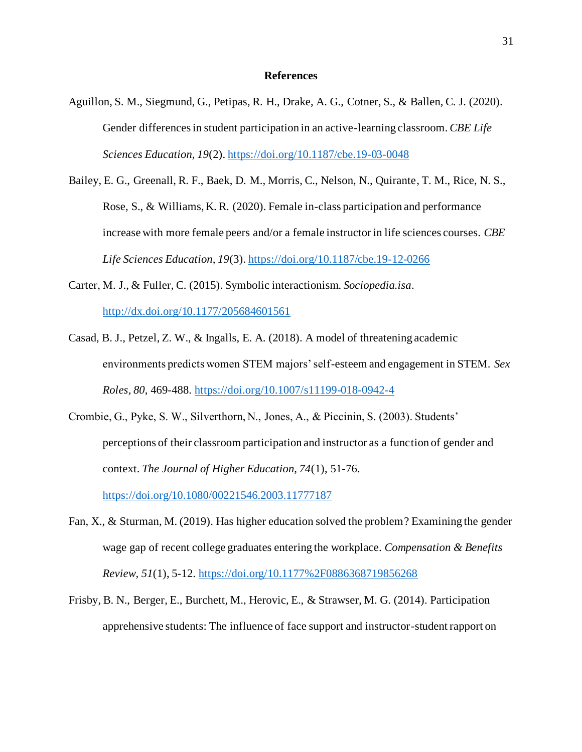#### **References**

- <span id="page-31-0"></span>Aguillon, S. M., Siegmund, G., Petipas, R. H., Drake, A. G., Cotner, S., & Ballen, C. J. (2020). Gender differences in student participation in an active-learning classroom. *CBE Life Sciences Education, 19*(2)[. https://doi.org/10.1187/cbe.19-03-0048](https://doi.org/10.1187/cbe.19-03-0048)
- Bailey, E. G., Greenall, R. F., Baek, D. M., Morris, C., Nelson, N., Quirante, T. M., Rice, N. S., Rose, S., & Williams, K. R. (2020). Female in-class participation and performance increase with more female peers and/or a female instructor in life sciences courses. *CBE Life Sciences Education, 19*(3).<https://doi.org/10.1187/cbe.19-12-0266>
- Carter, M. J., & Fuller, C. (2015). Symbolic interactionism. *Sociopedia.isa*. <http://dx.doi.org/10.1177/205684601561>
- Casad, B. J., Petzel, Z. W., & Ingalls, E. A. (2018). A model of threatening academic environments predicts women STEM majors' self-esteem and engagement in STEM. *Sex Roles, 80*, 469-488.<https://doi.org/10.1007/s11199-018-0942-4>
- Crombie, G., Pyke, S. W., Silverthorn, N., Jones, A., & Piccinin, S. (2003). Students' perceptions of their classroom participation and instructor as a function of gender and context. *The Journal of Higher Education, 74*(1), 51-76. <https://doi.org/10.1080/00221546.2003.11777187>
- Fan, X., & Sturman, M. (2019). Has higher education solved the problem? Examining the gender wage gap of recent college graduates entering the workplace. *Compensation & Benefits Review, 51*(1), 5-12.<https://doi.org/10.1177%2F0886368719856268>
- Frisby, B. N., Berger, E., Burchett, M., Herovic, E., & Strawser, M. G. (2014). Participation apprehensive students: The influence of face support and instructor-student rapport on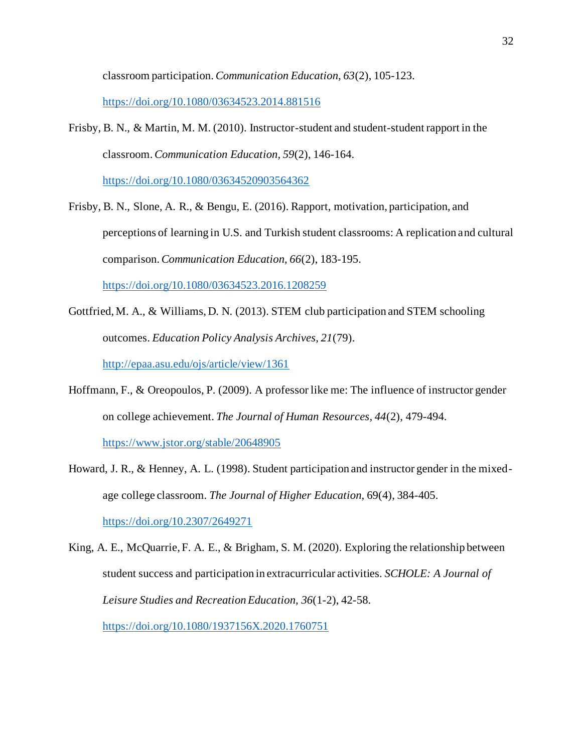classroom participation. *Communication Education, 63*(2), 105-123.

<https://doi.org/10.1080/03634523.2014.881516>

Frisby, B. N., & Martin, M. M. (2010). Instructor-student and student-student rapport in the classroom. *Communication Education, 59*(2), 146-164.

<https://doi.org/10.1080/03634520903564362>

Frisby, B. N., Slone, A. R., & Bengu, E. (2016). Rapport, motivation, participation, and perceptions of learning in U.S. and Turkish student classrooms: A replication and cultural comparison. *Communication Education, 66*(2), 183-195.

<https://doi.org/10.1080/03634523.2016.1208259>

- Gottfried, M. A., & Williams, D. N. (2013). STEM club participation and STEM schooling outcomes. *Education Policy Analysis Archives, 21*(79). <http://epaa.asu.edu/ojs/article/view/1361>
- Hoffmann, F., & Oreopoulos, P. (2009). A professor like me: The influence of instructor gender on college achievement. *The Journal of Human Resources, 44*(2), 479-494. <https://www.jstor.org/stable/20648905>
- Howard, J. R., & Henney, A. L. (1998). Student participation and instructor gender in the mixedage college classroom. *The Journal of Higher Education,* 69(4), 384-405. <https://doi.org/10.2307/2649271>
- King, A. E., McQuarrie, F. A. E., & Brigham, S. M. (2020). Exploring the relationship between student success and participation in extracurricular activities. *SCHOLE: A Journal of Leisure Studies and Recreation Education, 36*(1-2), 42-58. <https://doi.org/10.1080/1937156X.2020.1760751>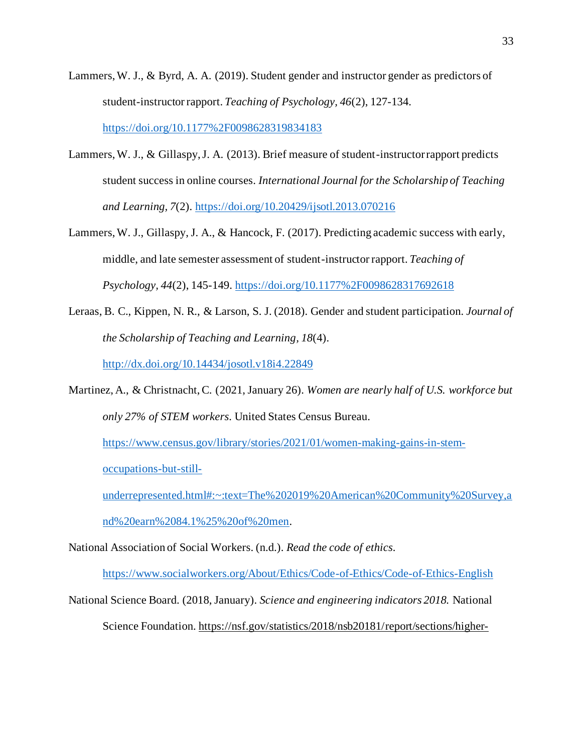- Lammers, W. J., & Byrd, A. A. (2019). Student gender and instructor gender as predictors of student-instructor rapport. *Teaching of Psychology, 46*(2), 127-134. <https://doi.org/10.1177%2F0098628319834183>
- Lammers, W. J., & Gillaspy, J. A. (2013). Brief measure of student-instructor rapport predicts student success in online courses. *International Journal for the Scholarship of Teaching and Learning, 7*(2).<https://doi.org/10.20429/ijsotl.2013.070216>
- Lammers, W. J., Gillaspy, J. A., & Hancock, F. (2017). Predicting academic success with early, middle, and late semester assessment of student-instructor rapport. *Teaching of Psychology, 44*(2), 145-149.<https://doi.org/10.1177%2F0098628317692618>
- Leraas, B. C., Kippen, N. R., & Larson, S. J. (2018). Gender and student participation. *Journal of the Scholarship of Teaching and Learning, 18*(4). <http://dx.doi.org/10.14434/josotl.v18i4.22849>
- Martinez, A., & Christnacht, C. (2021, January 26). *Women are nearly half of U.S. workforce but only 27% of STEM workers.* United States Census Bureau.

[https://www.census.gov/library/stories/2021/01/women-making-gains-in-stem-](https://www.census.gov/library/stories/2021/01/women-making-gains-in-stem-occupations-but-still-underrepresented.html#:~:text=The%202019%20American%20Community%20Survey,and%20earn%2084.1%25%20of%20men)

[occupations-but-still-](https://www.census.gov/library/stories/2021/01/women-making-gains-in-stem-occupations-but-still-underrepresented.html#:~:text=The%202019%20American%20Community%20Survey,and%20earn%2084.1%25%20of%20men)

[underrepresented.html#:~:text=The%202019%20American%20Community%20Survey,a](https://www.census.gov/library/stories/2021/01/women-making-gains-in-stem-occupations-but-still-underrepresented.html#:~:text=The%202019%20American%20Community%20Survey,and%20earn%2084.1%25%20of%20men) [nd%20earn%2084.1%25%20of%20men.](https://www.census.gov/library/stories/2021/01/women-making-gains-in-stem-occupations-but-still-underrepresented.html#:~:text=The%202019%20American%20Community%20Survey,and%20earn%2084.1%25%20of%20men)

National Association of Social Workers. (n.d.). *Read the code of ethics.* 

<https://www.socialworkers.org/About/Ethics/Code-of-Ethics/Code-of-Ethics-English>

National Science Board. (2018, January). *Science and engineering indicators 2018.* National Science Foundation. [https://nsf.gov/statistics/2018/nsb20181/report/sections/higher-](https://nsf.gov/statistics/2018/nsb20181/report/sections/higher-education-in-science-and-engineering/undergraduate-education-enrollment-and-degrees-in-the-united-states)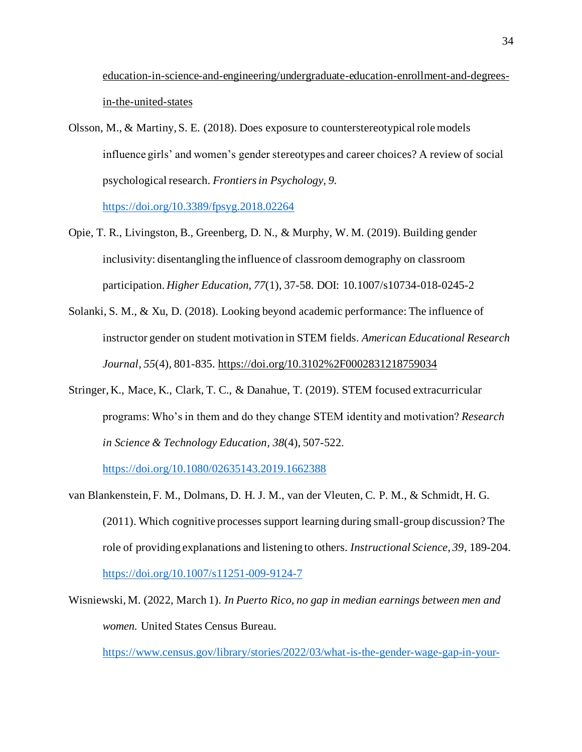[education-in-science-and-engineering/undergraduate-education-enrollment-and-degrees](https://nsf.gov/statistics/2018/nsb20181/report/sections/higher-education-in-science-and-engineering/undergraduate-education-enrollment-and-degrees-in-the-united-states)[in-the-united-states](https://nsf.gov/statistics/2018/nsb20181/report/sections/higher-education-in-science-and-engineering/undergraduate-education-enrollment-and-degrees-in-the-united-states) 

- Olsson, M., & Martiny, S. E. (2018). Does exposure to counterstereotypical role models influence girls' and women's gender stereotypes and career choices? A review of social psychological research. *Frontiers in Psychology, 9.*  <https://doi.org/10.3389/fpsyg.2018.02264>
- Opie, T. R., Livingston, B., Greenberg, D. N., & Murphy, W. M. (2019). Building gender inclusivity: disentangling the influence of classroom demography on classroom participation. *Higher Education, 77*(1), 37-58. DOI: 10.1007/s10734-018-0245-2
- Solanki, S. M., & Xu, D. (2018). Looking beyond academic performance: The influence of instructor gender on student motivation in STEM fields. *American Educational Research Journal, 55*(4), 801-835.<https://doi.org/10.3102%2F0002831218759034>
- Stringer, K., Mace, K., Clark, T. C., & Danahue, T. (2019). STEM focused extracurricular programs: Who's in them and do they change STEM identity and motivation? *Research in Science & Technology Education, 38*(4), 507-522.

<https://doi.org/10.1080/02635143.2019.1662388>

- van Blankenstein, F. M., Dolmans, D. H. J. M., van der Vleuten, C. P. M., & Schmidt, H. G. (2011). Which cognitive processes support learning during small-group discussion? The role of providing explanations and listening to others. *Instructional Science, 39*, 189-204. <https://doi.org/10.1007/s11251-009-9124-7>
- Wisniewski, M. (2022, March 1). *In Puerto Rico, no gap in median earnings between men and women.* United States Census Bureau.

[https://www.census.gov/library/stories/2022/03/what-is-the-gender-wage-gap-in-your-](https://www.census.gov/library/stories/2022/03/what-is-the-gender-wage-gap-in-your-state.html#:~:text=The%20gender%2Dbased%20wage%20gap,2019%20American%20Community%20Survey%20(ACS))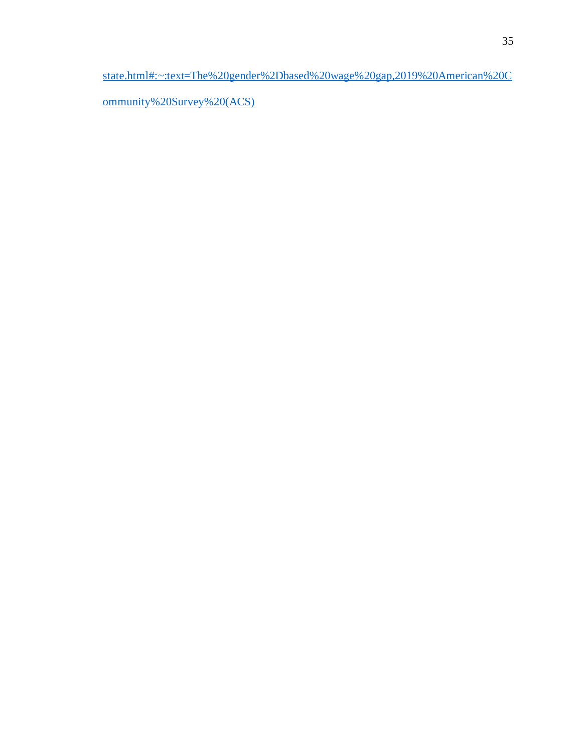[state.html#:~:text=The%20gender%2Dbased%20wage%20gap,2019%20American%20C](https://www.census.gov/library/stories/2022/03/what-is-the-gender-wage-gap-in-your-state.html#:~:text=The%20gender%2Dbased%20wage%20gap,2019%20American%20Community%20Survey%20(ACS))

[ommunity%20Survey%20\(ACS\)](https://www.census.gov/library/stories/2022/03/what-is-the-gender-wage-gap-in-your-state.html#:~:text=The%20gender%2Dbased%20wage%20gap,2019%20American%20Community%20Survey%20(ACS))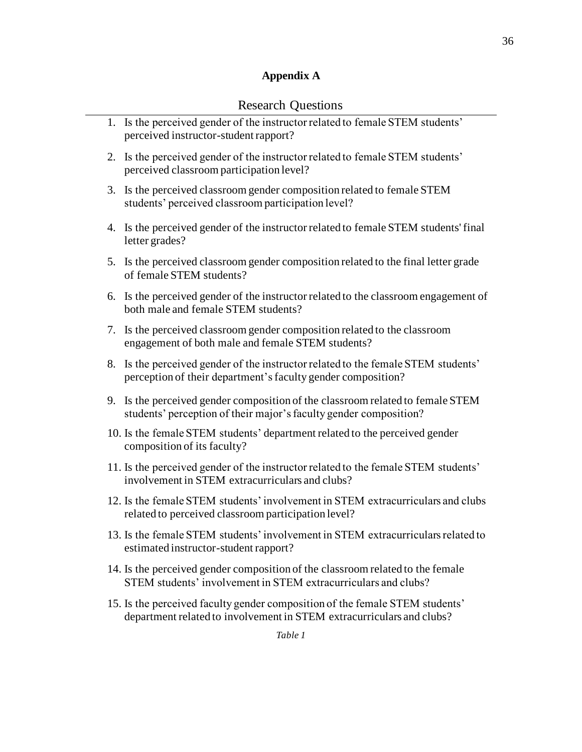# **Appendix A**

## Research Questions

|    | 1. Is the perceived gender of the instructor related to female STEM students'<br>perceived instructor-student rapport?                                |
|----|-------------------------------------------------------------------------------------------------------------------------------------------------------|
| 2. | Is the perceived gender of the instructor related to female STEM students'<br>perceived classroom participation level?                                |
| 3. | Is the perceived classroom gender composition related to female STEM<br>students' perceived classroom participation level?                            |
|    | 4. Is the perceived gender of the instructor related to female STEM students' final<br>letter grades?                                                 |
| 5. | Is the perceived classroom gender composition related to the final letter grade<br>of female STEM students?                                           |
| 6. | Is the perceived gender of the instructor related to the classroom engagement of<br>both male and female STEM students?                               |
| 7. | Is the perceived classroom gender composition related to the classroom<br>engagement of both male and female STEM students?                           |
| 8. | Is the perceived gender of the instructor related to the female STEM students'<br>perception of their department's faculty gender composition?        |
|    | 9. Is the perceived gender composition of the classroom related to female STEM<br>students' perception of their major's faculty gender composition?   |
|    | 10. Is the female STEM students' department related to the perceived gender<br>composition of its faculty?                                            |
|    | 11. Is the perceived gender of the instructor related to the female STEM students'<br>involvement in STEM extracurriculars and clubs?                 |
|    | 12. Is the female STEM students' involvement in STEM extracurriculars and clubs<br>related to perceived classroom participation level?                |
|    | 13. Is the female STEM students' involvement in STEM extracurriculars related to<br>estimated instructor-student rapport?                             |
|    | 14. Is the perceived gender composition of the classroom related to the female<br>STEM students' involvement in STEM extracurriculars and clubs?      |
|    | 15. Is the perceived faculty gender composition of the female STEM students'<br>department related to involvement in STEM extracurriculars and clubs? |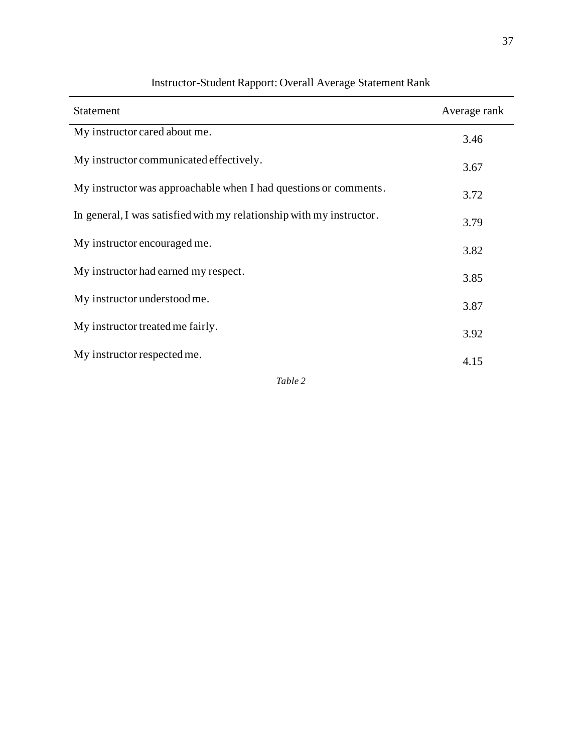| <b>Statement</b>                                                     | Average rank |
|----------------------------------------------------------------------|--------------|
| My instructor cared about me.                                        | 3.46         |
| My instructor communicated effectively.                              | 3.67         |
| My instructor was approachable when I had questions or comments.     | 3.72         |
| In general, I was satisfied with my relationship with my instructor. | 3.79         |
| My instructor encouraged me.                                         | 3.82         |
| My instructor had earned my respect.                                 | 3.85         |
| My instructor understood me.                                         | 3.87         |
| My instructor treated me fairly.                                     | 3.92         |
| My instructor respected me.                                          | 4.15         |
| Table 2                                                              |              |

## Instructor-Student Rapport: Overall Average Statement Rank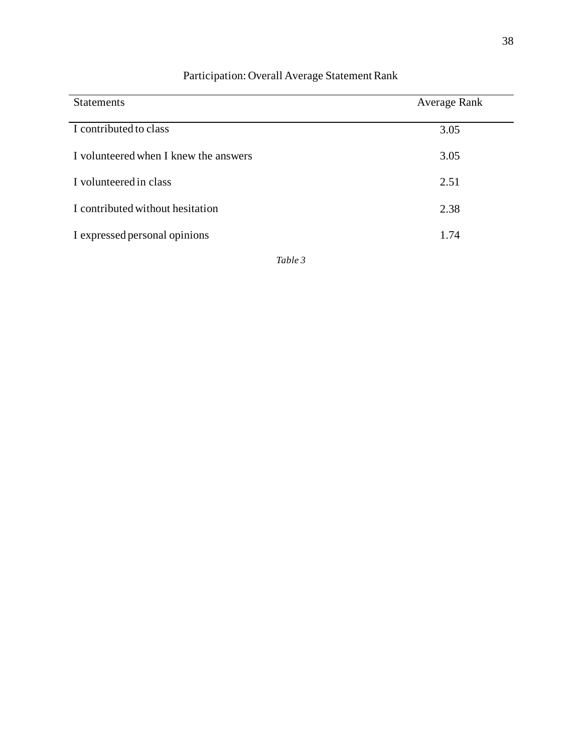| <b>Statements</b>                     | <b>Average Rank</b> |
|---------------------------------------|---------------------|
| I contributed to class                | 3.05                |
| I volunteered when I knew the answers | 3.05                |
| I volunteered in class                | 2.51                |
| I contributed without hesitation      | 2.38                |
| I expressed personal opinions         | 1.74                |

## Participation: Overall Average Statement Rank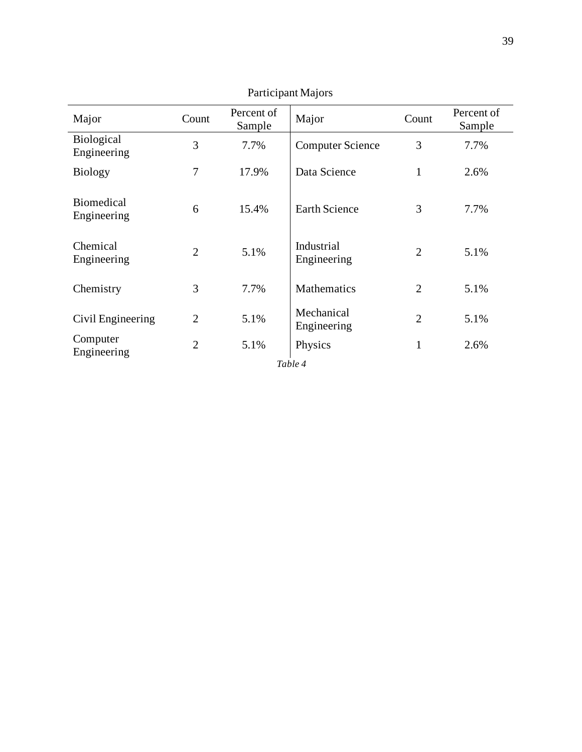| Major                            | Count          | Percent of<br>Sample | Major                     | Count          | Percent of<br>Sample |
|----------------------------------|----------------|----------------------|---------------------------|----------------|----------------------|
| Biological<br>Engineering        | 3              | 7.7%                 | <b>Computer Science</b>   | 3              | 7.7%                 |
| <b>Biology</b>                   | 7              | 17.9%                | Data Science              | 1              | 2.6%                 |
| <b>Biomedical</b><br>Engineering | 6              | 15.4%                | <b>Earth Science</b>      | 3              | 7.7%                 |
| Chemical<br>Engineering          | $\overline{2}$ | 5.1%                 | Industrial<br>Engineering | $\overline{2}$ | 5.1%                 |
| Chemistry                        | 3              | 7.7%                 | <b>Mathematics</b>        | $\overline{2}$ | 5.1%                 |
| Civil Engineering                | $\overline{2}$ | 5.1%                 | Mechanical<br>Engineering | $\overline{2}$ | 5.1%                 |
| Computer<br>Engineering          | $\overline{2}$ | 5.1%                 | Physics                   | $\mathbf{1}$   | 2.6%                 |
|                                  |                |                      | Table 4                   |                |                      |

Participant Majors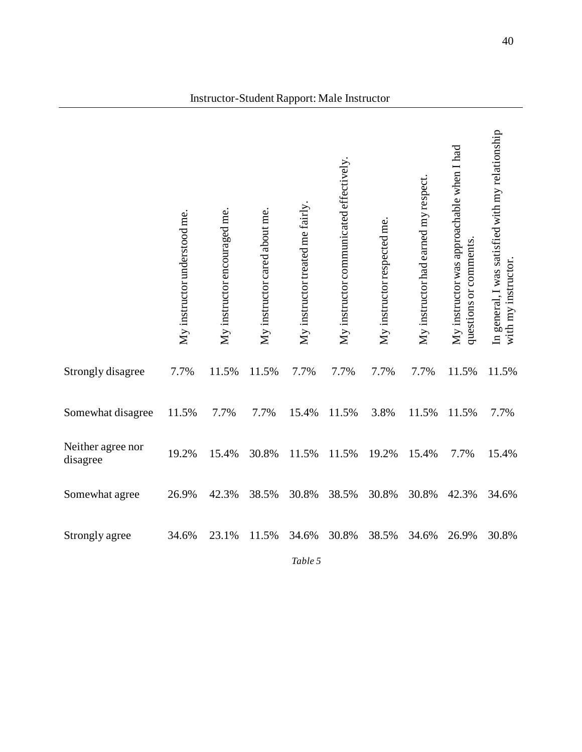|                               | My instructor understood me. | My instructor encouraged me. | My instructor cared about me. | My instructor treated me fairly. | My instructor communicated effectively. | My instructor respected me. | My instructor had earned my respect. | My instructor was approachable when I had<br>questions or comments. | In general, I was satisfied with my relationship<br>with my instructor |
|-------------------------------|------------------------------|------------------------------|-------------------------------|----------------------------------|-----------------------------------------|-----------------------------|--------------------------------------|---------------------------------------------------------------------|------------------------------------------------------------------------|
| Strongly disagree             | 7.7%                         | 11.5%                        | 11.5%                         | 7.7%                             | 7.7%                                    | 7.7%                        | 7.7%                                 | 11.5%                                                               | 11.5%                                                                  |
| Somewhat disagree             | 11.5%                        | 7.7%                         | 7.7%                          | 15.4%                            | 11.5%                                   | 3.8%                        | 11.5%                                | 11.5%                                                               | 7.7%                                                                   |
| Neither agree nor<br>disagree | 19.2%                        | 15.4%                        | 30.8%                         | 11.5%                            | 11.5%                                   | 19.2%                       | 15.4%                                | 7.7%                                                                | 15.4%                                                                  |
| Somewhat agree                | 26.9%                        | 42.3%                        | 38.5%                         | 30.8%                            | 38.5%                                   | 30.8%                       | 30.8%                                | 42.3%                                                               | 34.6%                                                                  |
| Strongly agree                | 34.6%                        | 23.1%                        | 11.5%                         | 34.6%<br>Table 5                 | 30.8%                                   | 38.5%                       | 34.6%                                | 26.9%                                                               | 30.8%                                                                  |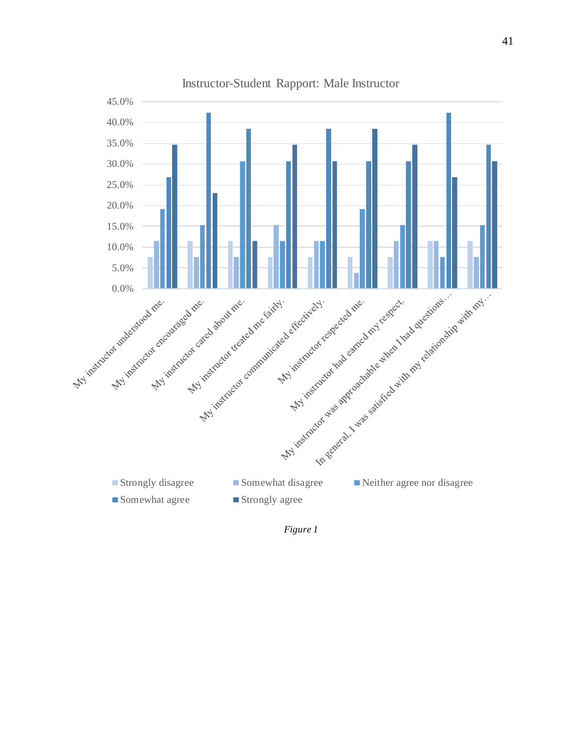

*Figure 1*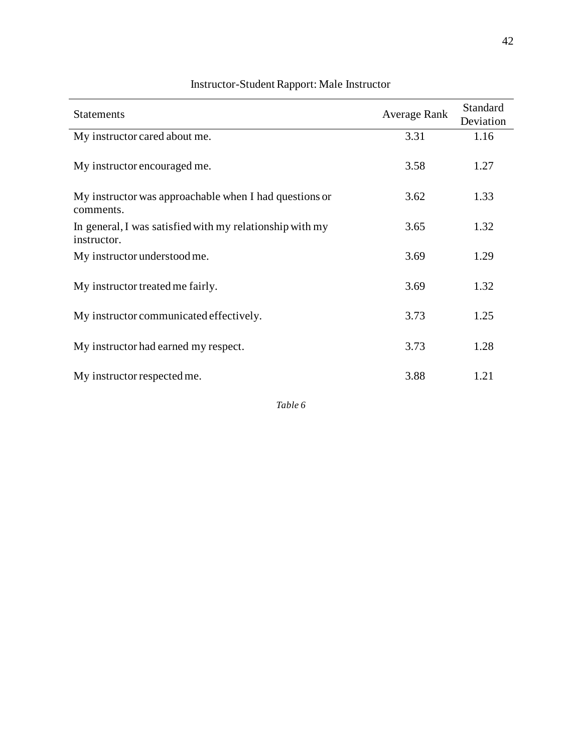| <b>Statements</b>                                                       | <b>Average Rank</b> | Standard  |
|-------------------------------------------------------------------------|---------------------|-----------|
|                                                                         |                     | Deviation |
| My instructor cared about me.                                           | 3.31                | 1.16      |
| My instructor encouraged me.                                            | 3.58                | 1.27      |
| My instructor was approachable when I had questions or<br>comments.     | 3.62                | 1.33      |
| In general, I was satisfied with my relationship with my<br>instructor. | 3.65                | 1.32      |
| My instructor understood me.                                            | 3.69                | 1.29      |
| My instructor treated me fairly.                                        | 3.69                | 1.32      |
| My instructor communicated effectively.                                 | 3.73                | 1.25      |
| My instructor had earned my respect.                                    | 3.73                | 1.28      |
| My instructor respected me.                                             | 3.88                | 1.21      |

## Instructor-Student Rapport: Male Instructor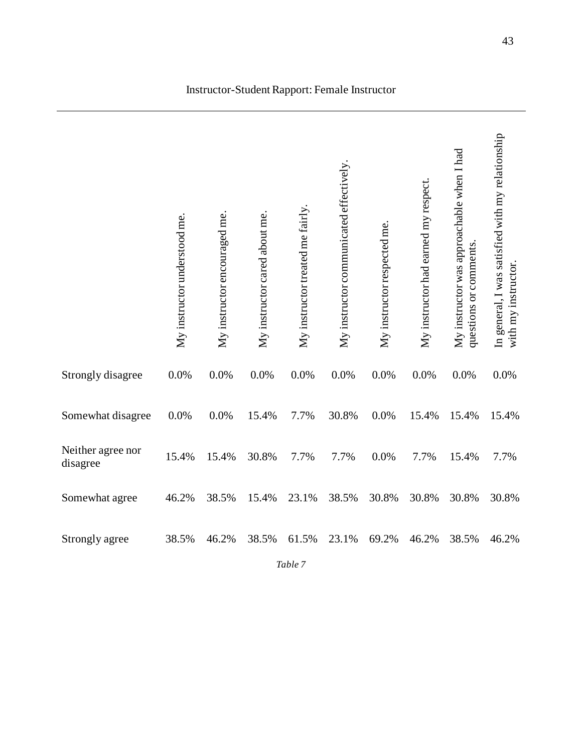|                               | My instructor understood me. | My instructor encouraged me. | My instructor cared about me. | My instructor treated me fairly | My instructor communicated effectively. | My instructor respected me. | My instructor had earned my respect. | My instructor was approachable when I had<br>questions or comments | In general, I was satisfied with my relationship<br>with my instructor. |
|-------------------------------|------------------------------|------------------------------|-------------------------------|---------------------------------|-----------------------------------------|-----------------------------|--------------------------------------|--------------------------------------------------------------------|-------------------------------------------------------------------------|
| <b>Strongly disagree</b>      | 0.0%                         | 0.0%                         | 0.0%                          | 0.0%                            | 0.0%                                    | 0.0%                        | 0.0%                                 | 0.0%                                                               | 0.0%                                                                    |
| Somewhat disagree             | 0.0%                         | 0.0%                         | 15.4%                         | 7.7%                            | 30.8%                                   | 0.0%                        | 15.4%                                | 15.4%                                                              | 15.4%                                                                   |
| Neither agree nor<br>disagree | 15.4%                        | 15.4%                        | 30.8%                         | 7.7%                            | 7.7%                                    | 0.0%                        | 7.7%                                 | 15.4%                                                              | 7.7%                                                                    |
| Somewhat agree                | 46.2%                        | 38.5%                        | 15.4%                         | 23.1%                           | 38.5%                                   | 30.8%                       | 30.8%                                | 30.8%                                                              | 30.8%                                                                   |
| Strongly agree                | 38.5%                        | 46.2%                        | 38.5%                         | 61.5%                           | 23.1%                                   | 69.2%                       | 46.2%                                | 38.5%                                                              | 46.2%                                                                   |
|                               |                              |                              |                               | Table 7                         |                                         |                             |                                      |                                                                    |                                                                         |

#### Instructor-Student Rapport: Female Instructor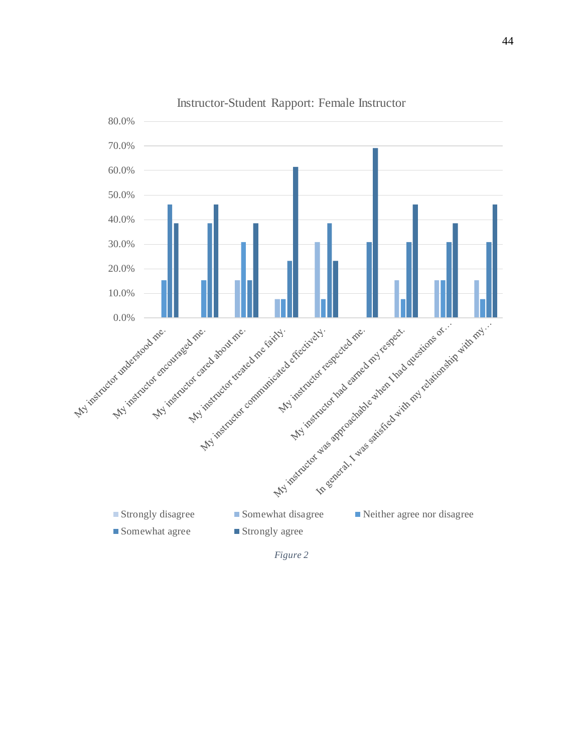

Instructor-Student Rapport: Female Instructor

*Figure 2*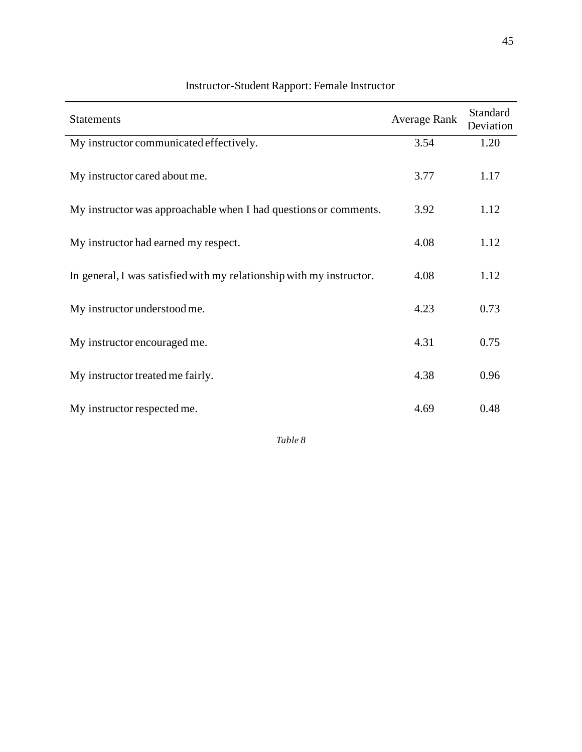| <b>Statements</b>                                                    | Average Rank | Standard<br>Deviation |
|----------------------------------------------------------------------|--------------|-----------------------|
| My instructor communicated effectively.                              | 3.54         | 1.20                  |
| My instructor cared about me.                                        | 3.77         | 1.17                  |
| My instructor was approachable when I had questions or comments.     | 3.92         | 1.12                  |
| My instructor had earned my respect.                                 | 4.08         | 1.12                  |
| In general, I was satisfied with my relationship with my instructor. | 4.08         | 1.12                  |
| My instructor understood me.                                         | 4.23         | 0.73                  |
| My instructor encouraged me.                                         | 4.31         | 0.75                  |
| My instructor treated me fairly.                                     | 4.38         | 0.96                  |
| My instructor respected me.                                          | 4.69         | 0.48                  |

# Instructor-Student Rapport: Female Instructor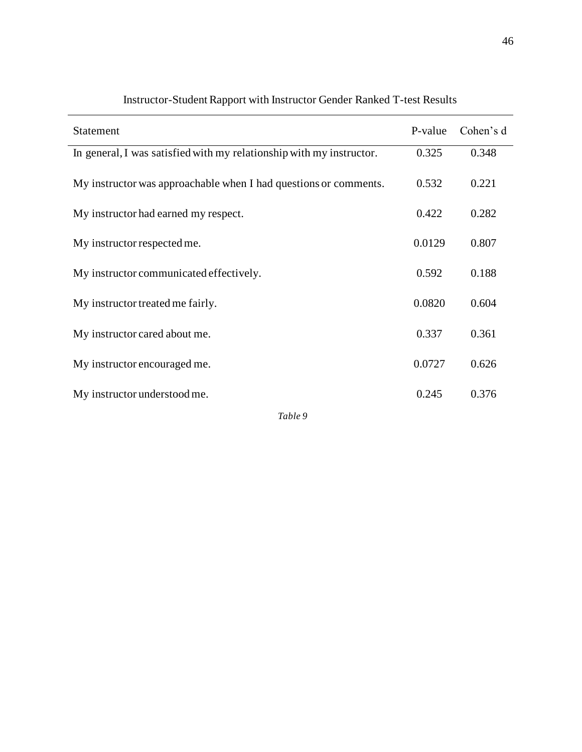| Statement                                                            | P-value | Cohen's d |
|----------------------------------------------------------------------|---------|-----------|
| In general, I was satisfied with my relationship with my instructor. | 0.325   | 0.348     |
| My instructor was approachable when I had questions or comments.     | 0.532   | 0.221     |
| My instructor had earned my respect.                                 | 0.422   | 0.282     |
| My instructor respected me.                                          | 0.0129  | 0.807     |
| My instructor communicated effectively.                              | 0.592   | 0.188     |
| My instructor treated me fairly.                                     | 0.0820  | 0.604     |
| My instructor cared about me.                                        | 0.337   | 0.361     |
| My instructor encouraged me.                                         | 0.0727  | 0.626     |
| My instructor understood me.                                         | 0.245   | 0.376     |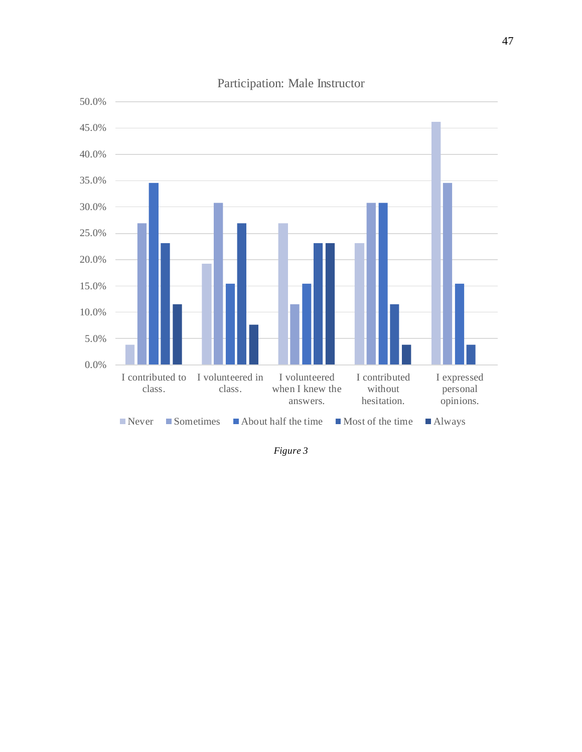

Participation: Male Instructor

*Figure 3*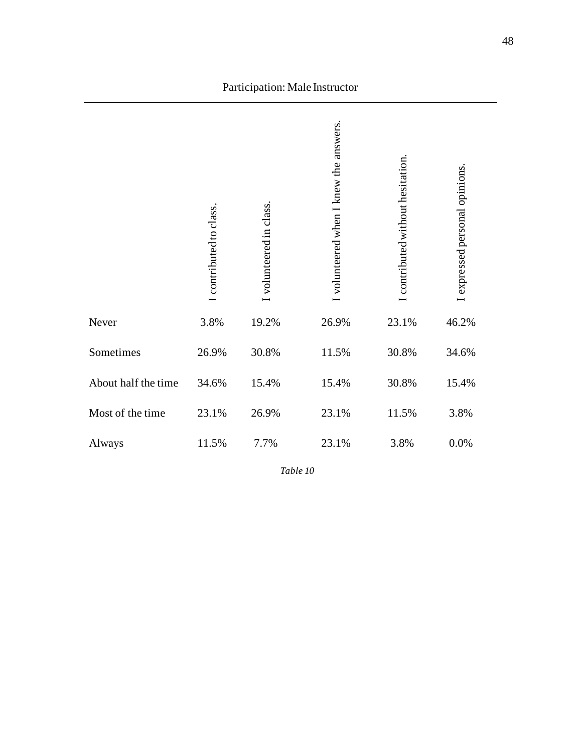|                     | I contributed to class. | volunteered in class. | volunteered when I knew the answers. | contributed without hesitation. | I expressed personal opinions. |
|---------------------|-------------------------|-----------------------|--------------------------------------|---------------------------------|--------------------------------|
| Never               | 3.8%                    | 19.2%                 | 26.9%                                | 23.1%                           | 46.2%                          |
| Sometimes           | 26.9%                   | 30.8%                 | 11.5%                                | 30.8%                           | 34.6%                          |
| About half the time | 34.6%                   | 15.4%                 | 15.4%                                | 30.8%                           | 15.4%                          |
| Most of the time    | 23.1%                   | 26.9%                 | 23.1%                                | 11.5%                           | 3.8%                           |
| Always              | 11.5%                   | 7.7%                  | 23.1%                                | 3.8%                            | 0.0%                           |

Participation: Male Instructor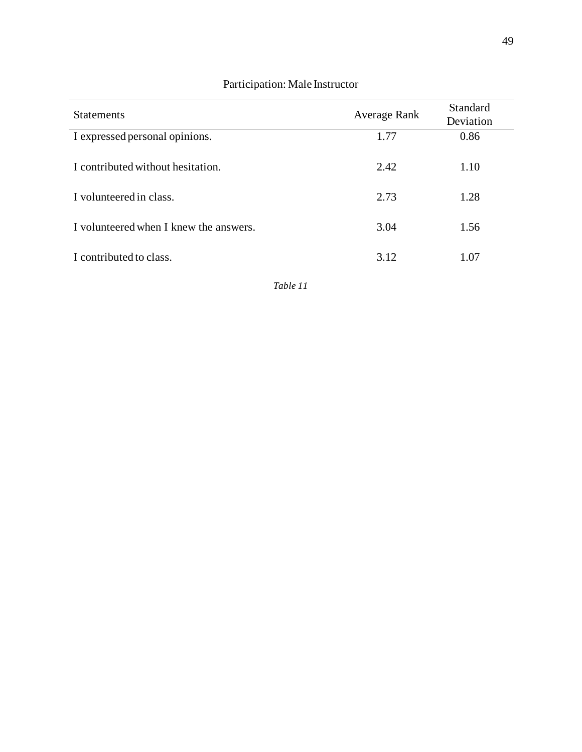| <b>Statements</b>                      | Average Rank | Standard<br>Deviation |
|----------------------------------------|--------------|-----------------------|
| I expressed personal opinions.         | 1.77         | 0.86                  |
| I contributed without hesitation.      | 2.42         | 1.10                  |
| I volunteered in class.                | 2.73         | 1.28                  |
| I volunteered when I knew the answers. | 3.04         | 1.56                  |
| I contributed to class.                | 3.12         | 1.07                  |

#### Participation: Male Instructor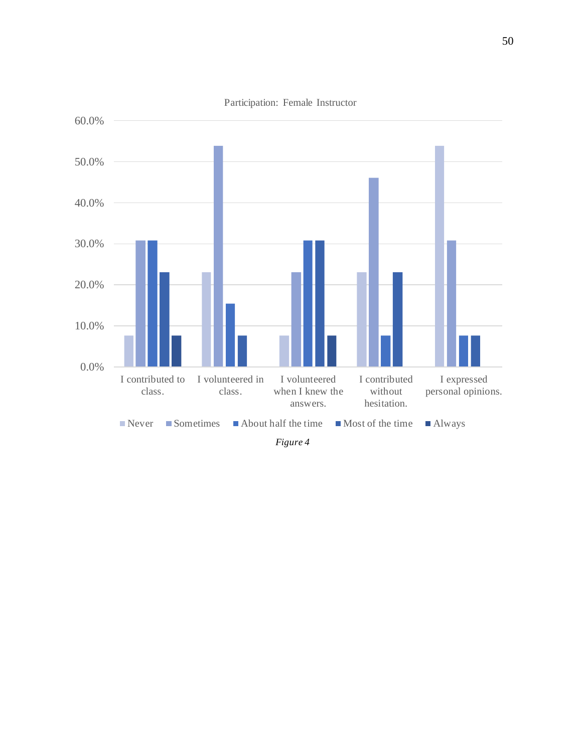

Participation: Female Instructor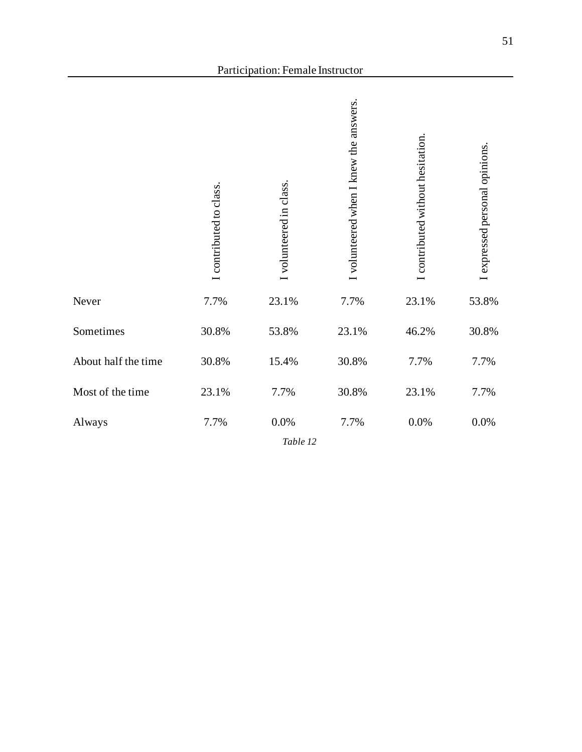|                     | I contributed to class. | I volunteered in class. | I volunteered when I knew the answers. | I contributed without hesitation | expressed personal opinions. |
|---------------------|-------------------------|-------------------------|----------------------------------------|----------------------------------|------------------------------|
| Never               | 7.7%                    | 23.1%                   | 7.7%                                   | 23.1%                            | 53.8%                        |
| Sometimes           | 30.8%                   | 53.8%                   | 23.1%                                  | 46.2%                            | 30.8%                        |
| About half the time | 30.8%                   | 15.4%                   | 30.8%                                  | 7.7%                             | 7.7%                         |
| Most of the time    | 23.1%                   | 7.7%                    | 30.8%                                  | 23.1%                            | 7.7%                         |
| Always              | 7.7%                    | $0.0\%$<br>Table 12     | 7.7%                                   | 0.0%                             | 0.0%                         |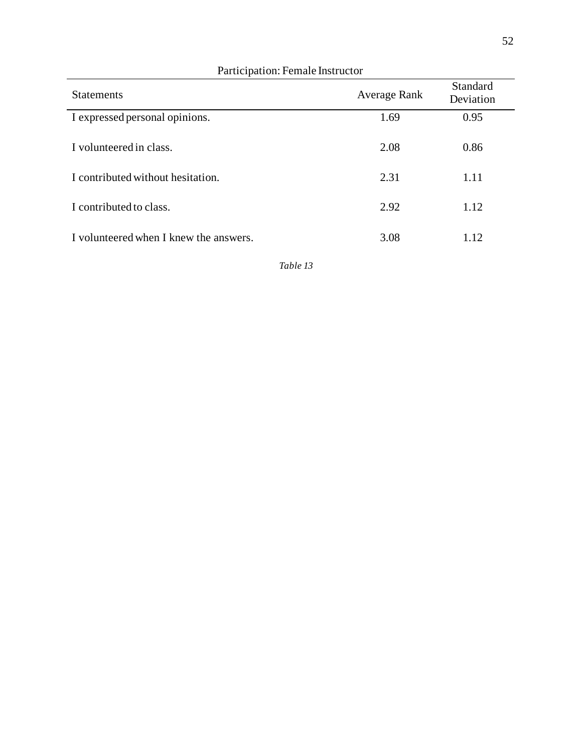| <b>Statements</b>                      | Average Rank | Standard<br>Deviation |
|----------------------------------------|--------------|-----------------------|
| I expressed personal opinions.         | 1.69         | 0.95                  |
| I volunteered in class.                | 2.08         | 0.86                  |
| I contributed without hesitation.      | 2.31         | 1.11                  |
| I contributed to class.                | 2.92         | 1.12                  |
| I volunteered when I knew the answers. | 3.08         | 1.12                  |

#### Participation: Female Instructor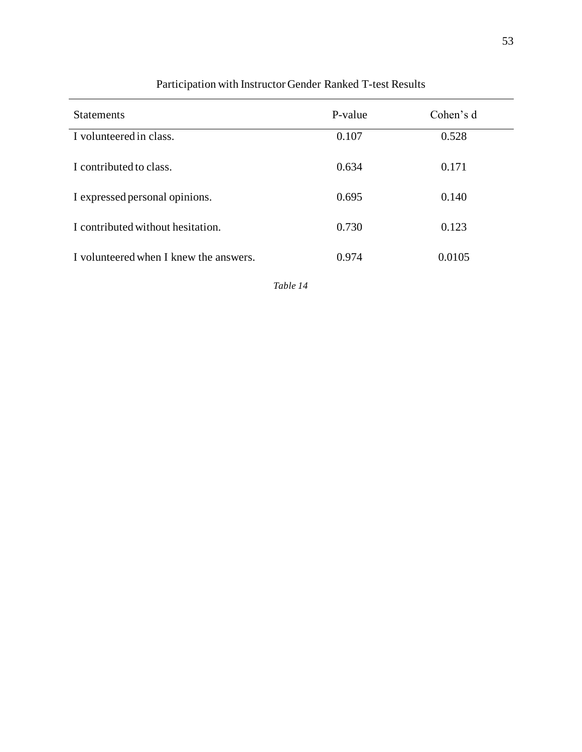| <b>Statements</b>                      | P-value | Cohen's d |
|----------------------------------------|---------|-----------|
| I volunteered in class.                | 0.107   | 0.528     |
| I contributed to class.                | 0.634   | 0.171     |
| I expressed personal opinions.         | 0.695   | 0.140     |
| I contributed without hesitation.      | 0.730   | 0.123     |
| I volunteered when I knew the answers. | 0.974   | 0.0105    |

## Participation with Instructor Gender Ranked T-test Results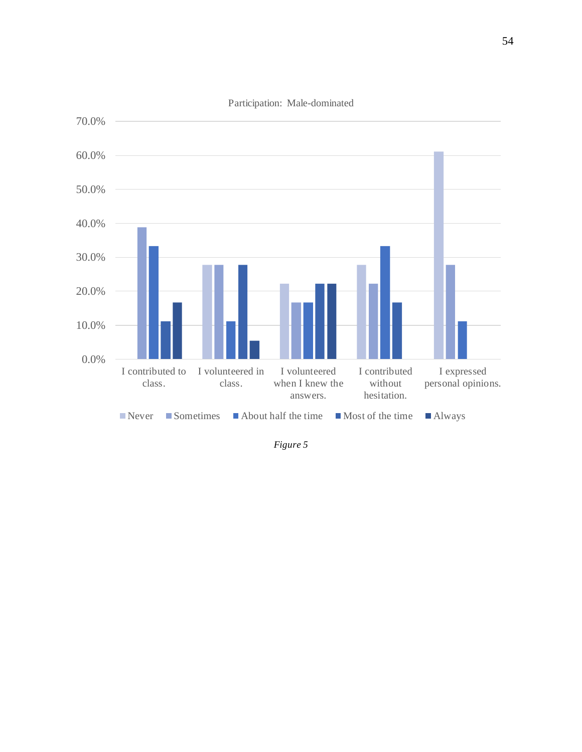

*Figure 5*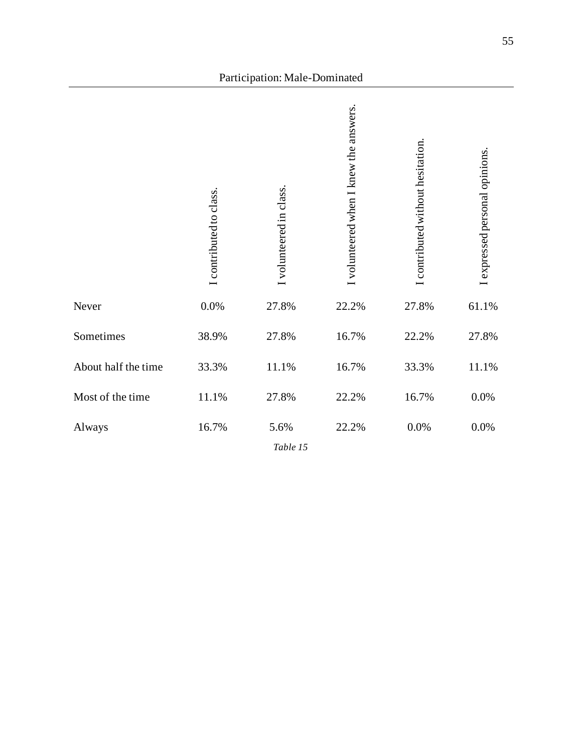|                     | I contributed to class. | I volunteered in class. | I volunteered when I knew the answers. | I contributed without hesitation. | I expressed personal opinions. |
|---------------------|-------------------------|-------------------------|----------------------------------------|-----------------------------------|--------------------------------|
| Never               | $0.0\%$                 | 27.8%                   | 22.2%                                  | 27.8%                             | 61.1%                          |
| Sometimes           | 38.9%                   | 27.8%                   | 16.7%                                  | 22.2%                             | 27.8%                          |
| About half the time | 33.3%                   | 11.1%                   | 16.7%                                  | 33.3%                             | 11.1%                          |
| Most of the time    | 11.1%                   | 27.8%                   | 22.2%                                  | 16.7%                             | 0.0%                           |
| Always              | 16.7%                   | 5.6%<br>Table 15        | 22.2%                                  | $0.0\%$                           | 0.0%                           |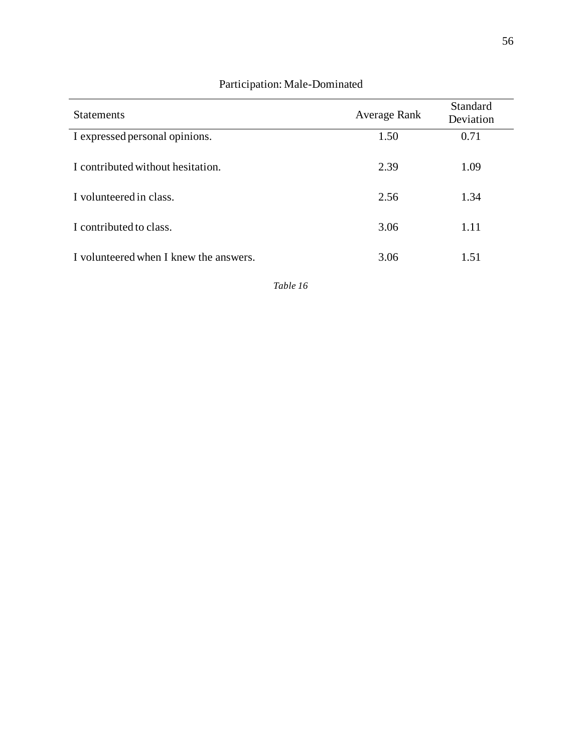| <b>Statements</b>                      | Average Rank | Standard<br>Deviation |
|----------------------------------------|--------------|-----------------------|
| I expressed personal opinions.         | 1.50         | 0.71                  |
| I contributed without hesitation.      | 2.39         | 1.09                  |
| I volunteered in class.                | 2.56         | 1.34                  |
| I contributed to class.                | 3.06         | 1.11                  |
| I volunteered when I knew the answers. | 3.06         | 1.51                  |

## Participation: Male-Dominated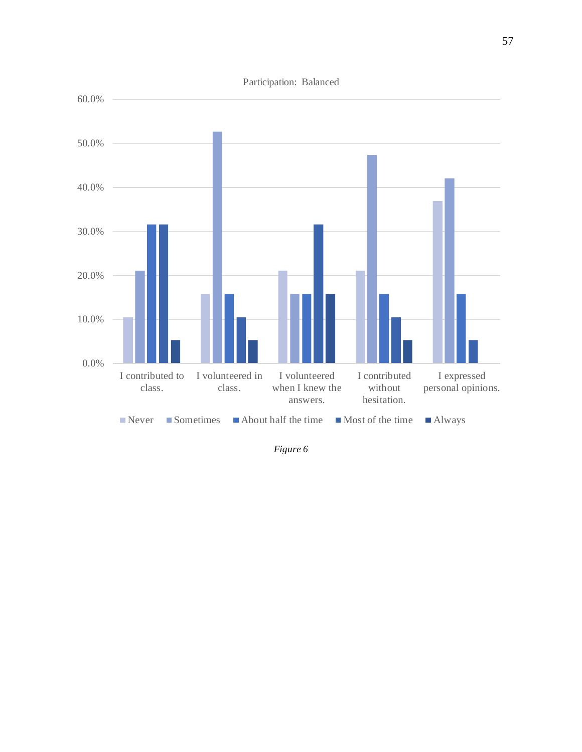

*Figure 6*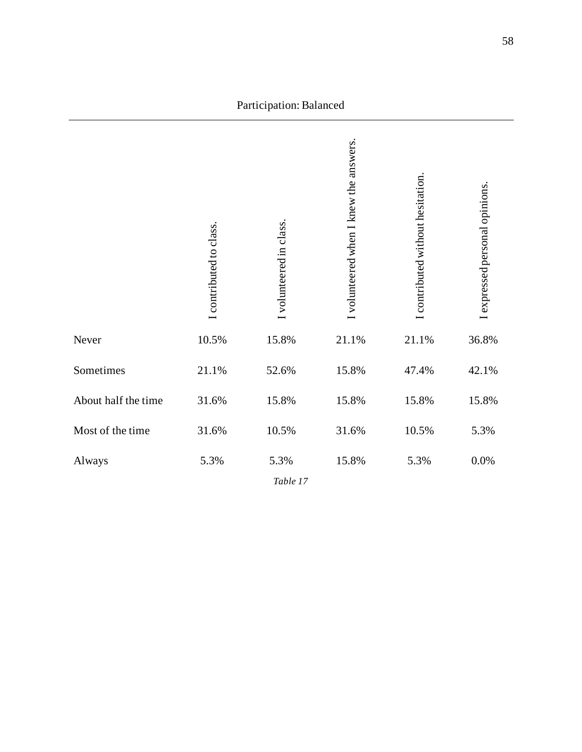|                     | contributed to class. | I volunteered in class. | I volunteered when I knew the answers. | I contributed without hesitation. | I expressed personal opinions. |
|---------------------|-----------------------|-------------------------|----------------------------------------|-----------------------------------|--------------------------------|
| Never               | 10.5%                 | 15.8%                   | 21.1%                                  | 21.1%                             | 36.8%                          |
| Sometimes           | 21.1%                 | 52.6%                   | 15.8%                                  | 47.4%                             | 42.1%                          |
| About half the time | 31.6%                 | 15.8%                   | 15.8%                                  | 15.8%                             | 15.8%                          |
| Most of the time    | 31.6%                 | 10.5%                   | 31.6%                                  | 10.5%                             | 5.3%                           |
| Always              | 5.3%                  | 5.3%<br>Table 17        | 15.8%                                  | 5.3%                              | $0.0\%$                        |

Participation: Balanced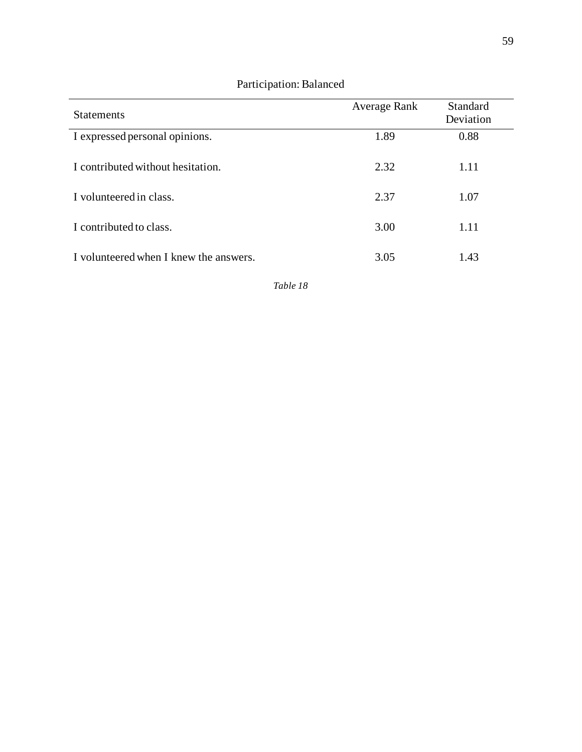| <b>Statements</b>                      | <b>Average Rank</b> | Standard<br>Deviation |
|----------------------------------------|---------------------|-----------------------|
| I expressed personal opinions.         | 1.89                | 0.88                  |
| I contributed without hesitation.      | 2.32                | 1.11                  |
| I volunteered in class.                | 2.37                | 1.07                  |
| I contributed to class.                | 3.00                | 1.11                  |
| I volunteered when I knew the answers. | 3.05                | 1.43                  |

#### Participation: Balanced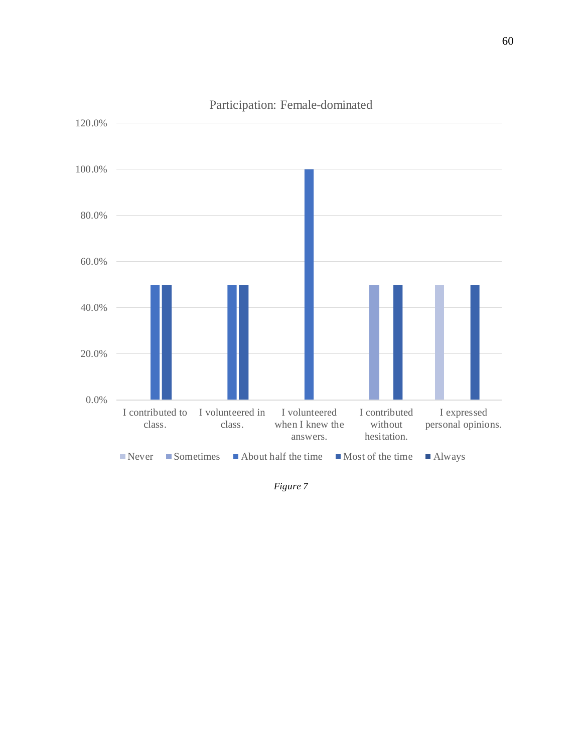

Participation: Female-dominated

*Figure 7*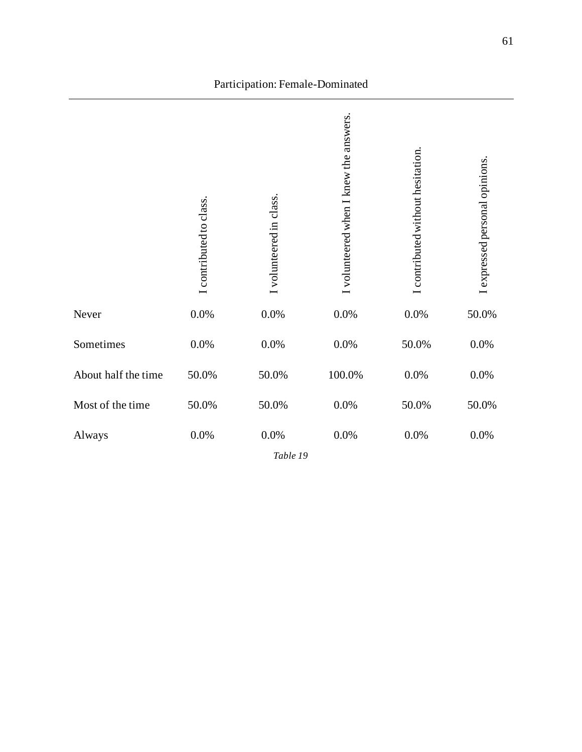|                     | I contributed to class. | I volunteered in class. | volunteered when I knew the answers | I contributed without hesitation | I expressed personal opinions |
|---------------------|-------------------------|-------------------------|-------------------------------------|----------------------------------|-------------------------------|
| Never               | 0.0%                    | $0.0\%$                 | 0.0%                                | $0.0\%$                          | 50.0%                         |
| Sometimes           | 0.0%                    | 0.0%                    | 0.0%                                | 50.0%                            | 0.0%                          |
| About half the time | 50.0%                   | 50.0%                   | 100.0%                              | $0.0\%$                          | 0.0%                          |
| Most of the time    | 50.0%                   | 50.0%                   | 0.0%                                | 50.0%                            | 50.0%                         |
| Always              | $0.0\%$                 | $0.0\%$<br>Table 19     | $0.0\%$                             | $0.0\%$                          | 0.0%                          |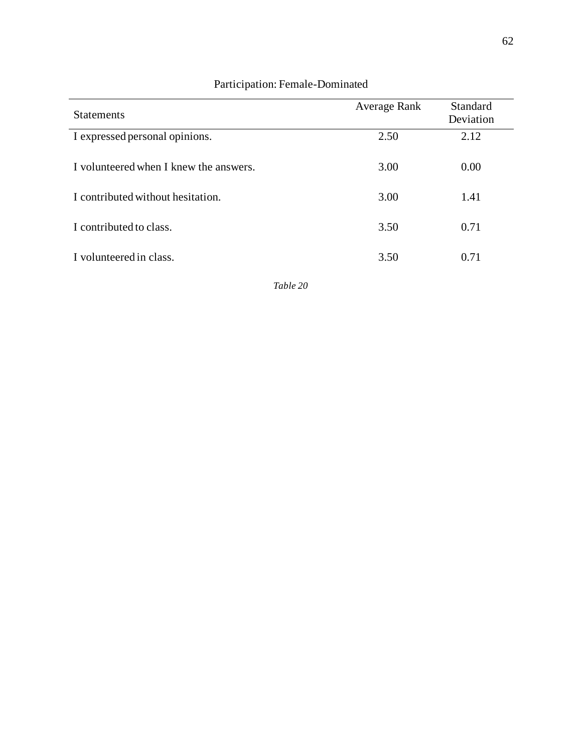| <b>Statements</b>                      | <b>Average Rank</b> | Standard<br>Deviation |
|----------------------------------------|---------------------|-----------------------|
| I expressed personal opinions.         | 2.50                | 2.12                  |
| I volunteered when I knew the answers. | 3.00                | 0.00                  |
| I contributed without hesitation.      | 3.00                | 1.41                  |
| I contributed to class.                | 3.50                | 0.71                  |
| I volunteered in class.                | 3.50                | 0.71                  |

## Participation: Female-Dominated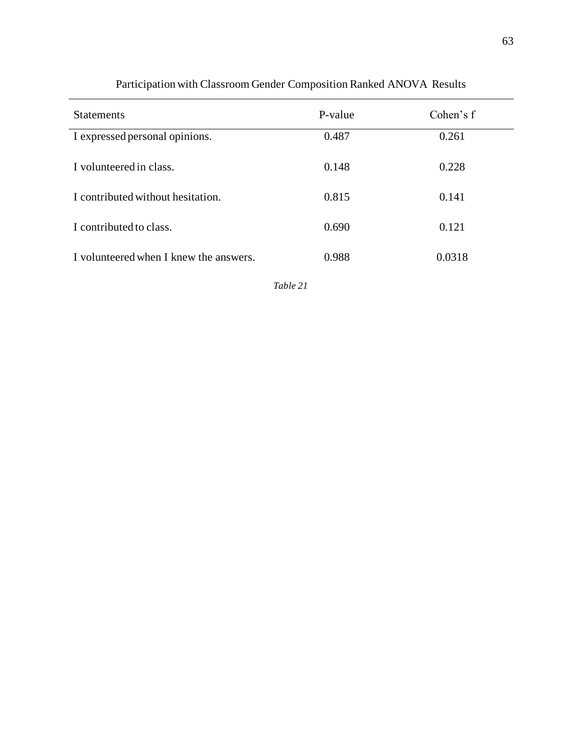| <b>Statements</b>                      | P-value | Cohen's f |
|----------------------------------------|---------|-----------|
| I expressed personal opinions.         | 0.487   | 0.261     |
| I volunteered in class.                | 0.148   | 0.228     |
| I contributed without hesitation.      | 0.815   | 0.141     |
| I contributed to class.                | 0.690   | 0.121     |
| I volunteered when I knew the answers. | 0.988   | 0.0318    |

## Participation with Classroom Gender Composition Ranked ANOVA Results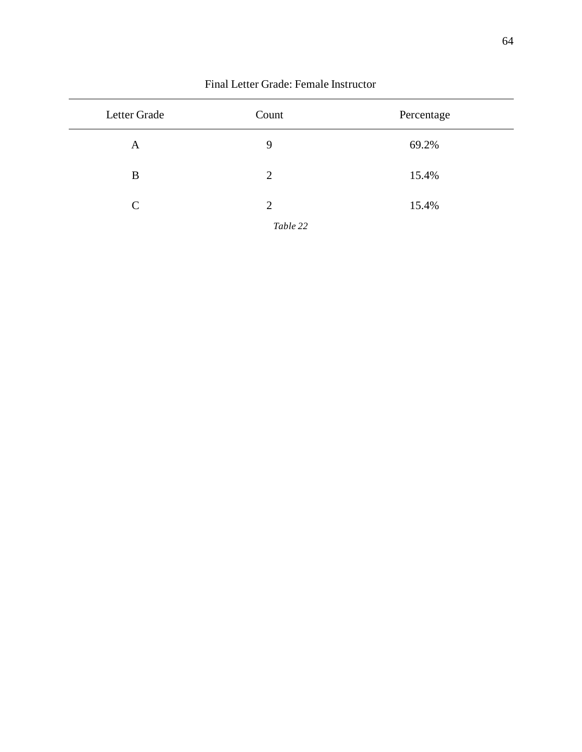| Letter Grade  | Count    | Percentage |
|---------------|----------|------------|
| A             | 9        | 69.2%      |
| B             | 2        | 15.4%      |
| $\mathcal{C}$ | 2        | 15.4%      |
|               | Table 22 |            |

#### Final Letter Grade: Female Instructor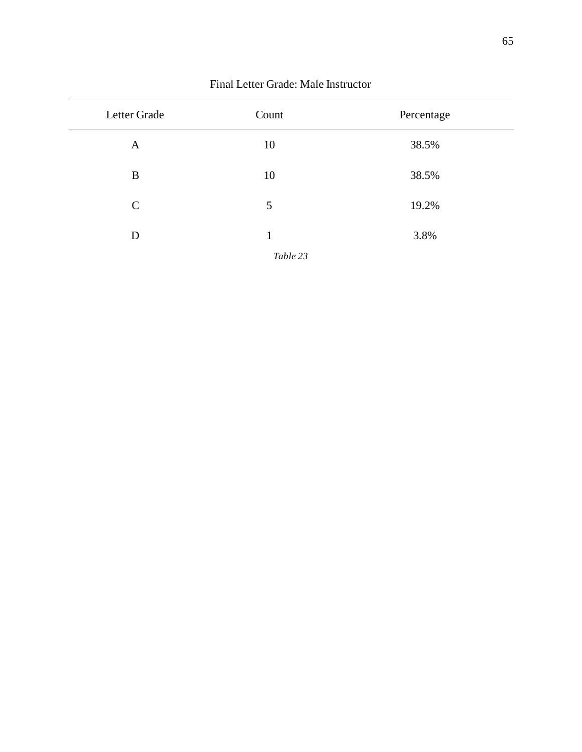| Letter Grade  | Count    | Percentage |
|---------------|----------|------------|
| $\mathbf{A}$  | 10       | 38.5%      |
| B             | 10       | 38.5%      |
| $\mathcal{C}$ | 5        | 19.2%      |
| D             | 1        | 3.8%       |
|               | Table 23 |            |

#### Final Letter Grade: Male Instructor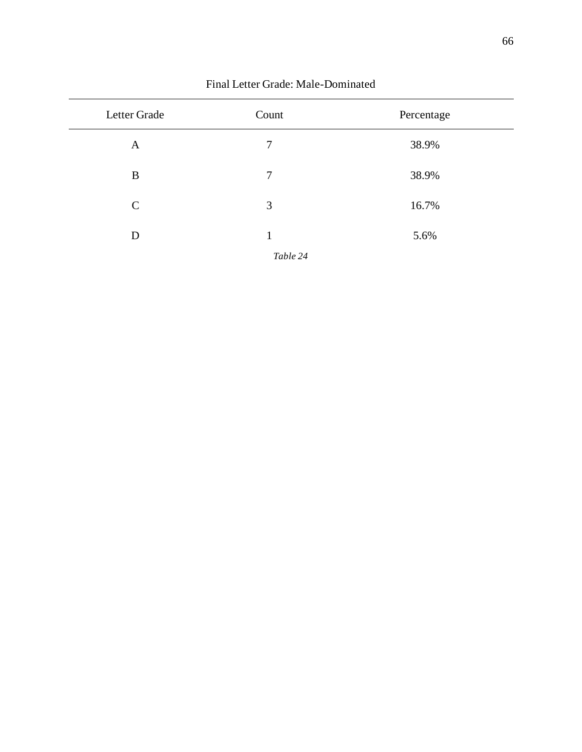| Letter Grade  | Count    | Percentage |
|---------------|----------|------------|
| A             | 7        | 38.9%      |
| B             | 7        | 38.9%      |
| $\mathcal{C}$ | 3        | 16.7%      |
| D             | 1        | 5.6%       |
|               | Table 24 |            |

#### Final Letter Grade: Male-Dominated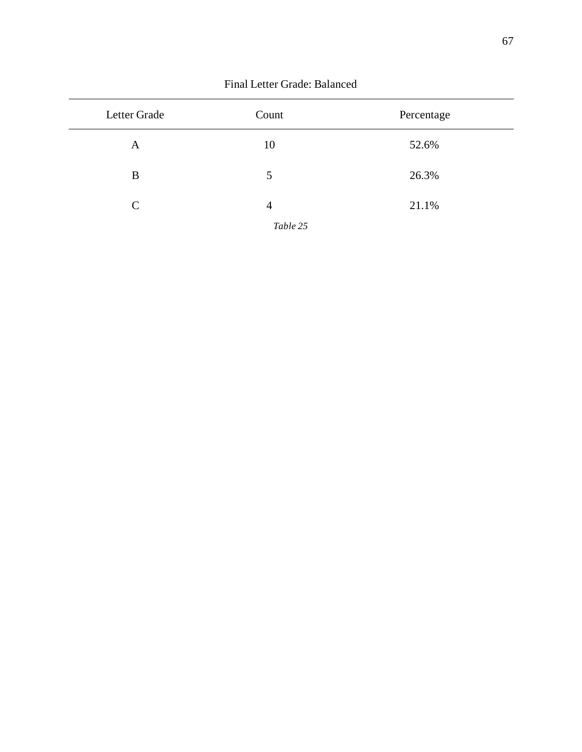| Letter Grade  | Count    | Percentage |  |  |
|---------------|----------|------------|--|--|
| A             | 10       | 52.6%      |  |  |
| B             | 5        | 26.3%      |  |  |
| $\mathcal{C}$ | 4        | 21.1%      |  |  |
|               | Table 25 |            |  |  |

Final Letter Grade: Balanced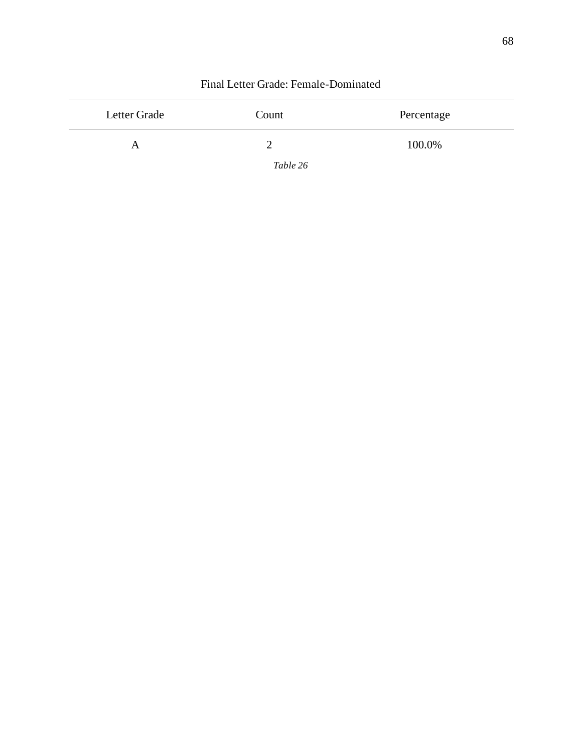| Letter Grade | Count    | Percentage |
|--------------|----------|------------|
| A            |          | 100.0%     |
|              | Table 26 |            |

#### Final Letter Grade: Female-Dominated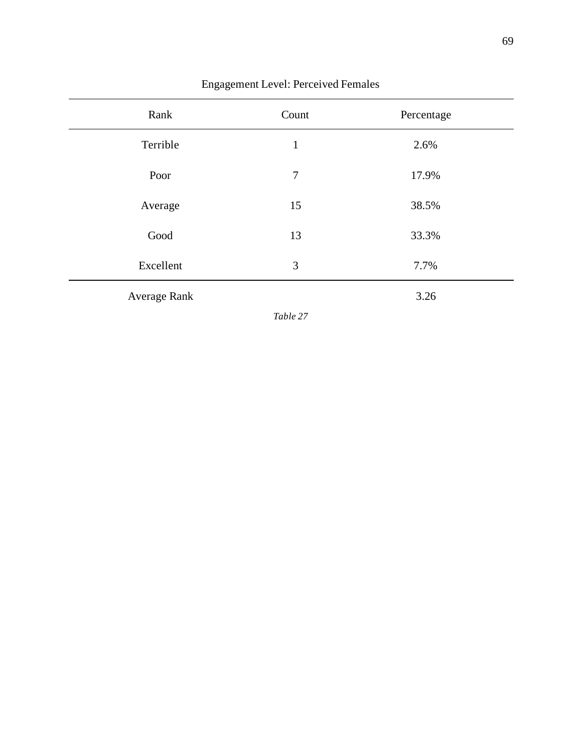| Rank         | Count | Percentage |
|--------------|-------|------------|
| Terrible     | 1     | 2.6%       |
| Poor         | 7     | 17.9%      |
| Average      | 15    | 38.5%      |
| Good         | 13    | 33.3%      |
| Excellent    | 3     | 7.7%       |
| Average Rank |       | 3.26       |

## Engagement Level: Perceived Females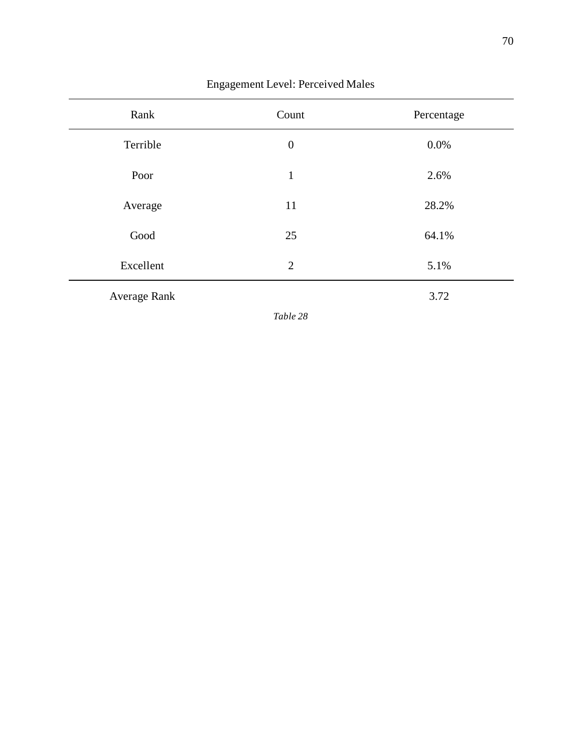| Rank         | Count            | Percentage |  |  |
|--------------|------------------|------------|--|--|
| Terrible     | $\boldsymbol{0}$ | 0.0%       |  |  |
| Poor         | $\mathbf{1}$     | 2.6%       |  |  |
| Average      | 11               | 28.2%      |  |  |
| Good         | 25               | 64.1%      |  |  |
| Excellent    | $\overline{2}$   | 5.1%       |  |  |
| Average Rank |                  | 3.72       |  |  |

## Engagement Level: Perceived Males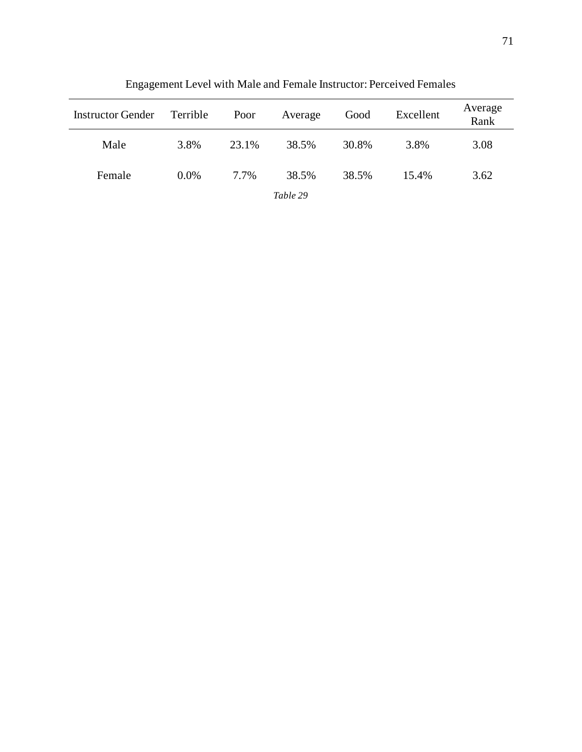| <b>Instructor Gender</b> | Terrible | Poor  | Average  | Good  | Excellent | Average<br>Rank |
|--------------------------|----------|-------|----------|-------|-----------|-----------------|
| Male                     | 3.8%     | 23.1% | 38.5%    | 30.8% | 3.8%      | 3.08            |
| Female                   | $0.0\%$  | 7.7%  | 38.5%    | 38.5% | 15.4%     | 3.62            |
|                          |          |       | Table 29 |       |           |                 |

Engagement Level with Male and Female Instructor: Perceived Females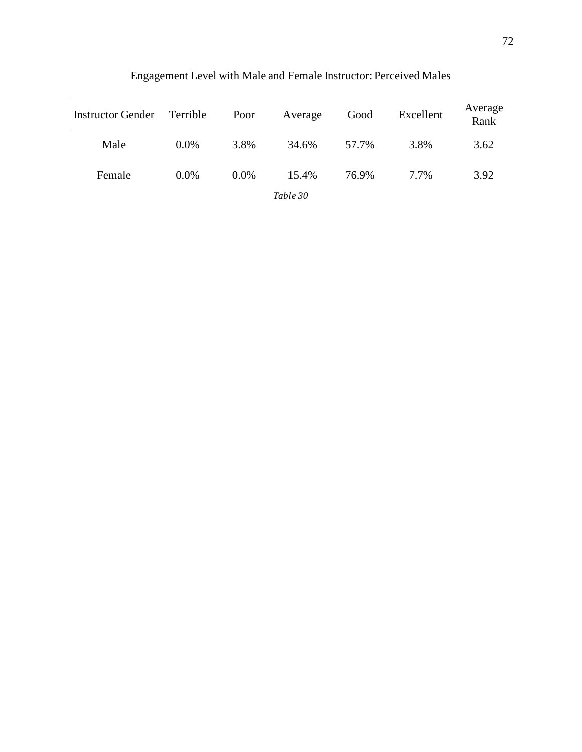| <b>Instructor Gender</b> | Terrible | Poor    | Average  | Good  | Excellent | Average<br>Rank |
|--------------------------|----------|---------|----------|-------|-----------|-----------------|
| Male                     | $0.0\%$  | 3.8%    | 34.6%    | 57.7% | 3.8%      | 3.62            |
| Female                   | $0.0\%$  | $0.0\%$ | 15.4%    | 76.9% | 7.7%      | 3.92            |
|                          |          |         | Table 30 |       |           |                 |

Engagement Level with Male and Female Instructor: Perceived Males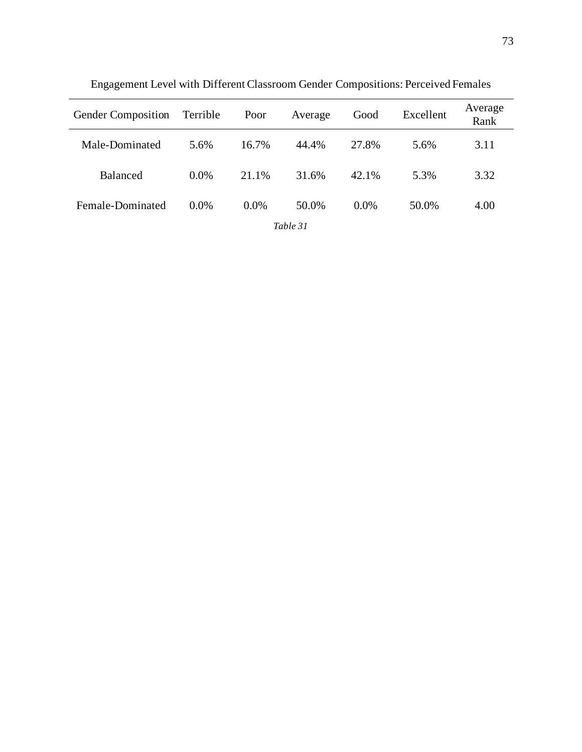| Gender Composition | Terrible | Poor    | Average  | Good    | Excellent | Average<br>Rank |
|--------------------|----------|---------|----------|---------|-----------|-----------------|
| Male-Dominated     | 5.6%     | 16.7%   | 44.4%    | 27.8%   | 5.6%      | 3.11            |
| <b>Balanced</b>    | $0.0\%$  | 21.1%   | 31.6%    | 42.1%   | 5.3%      | 3.32            |
| Female-Dominated   | $0.0\%$  | $0.0\%$ | 50.0%    | $0.0\%$ | 50.0%     | 4.00            |
|                    |          |         | Table 31 |         |           |                 |

Engagement Level with Different Classroom Gender Compositions: Perceived Females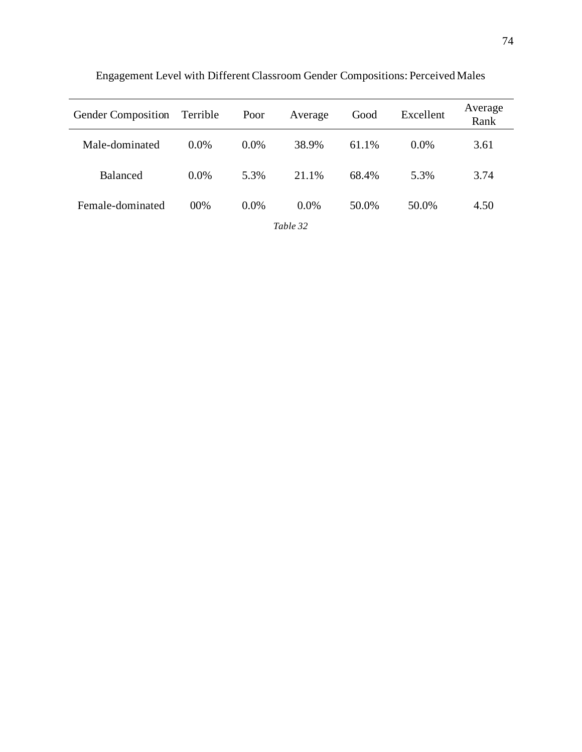| <b>Gender Composition</b> | Terrible | Poor    | Average  | Good  | Excellent | Average<br>Rank |
|---------------------------|----------|---------|----------|-------|-----------|-----------------|
| Male-dominated            | $0.0\%$  | $0.0\%$ | 38.9%    | 61.1% | $0.0\%$   | 3.61            |
| Balanced                  | $0.0\%$  | 5.3%    | 21.1%    | 68.4% | 5.3%      | 3.74            |
| Female-dominated          | $00\%$   | $0.0\%$ | $0.0\%$  | 50.0% | 50.0%     | 4.50            |
|                           |          |         | Table 32 |       |           |                 |

Engagement Level with Different Classroom Gender Compositions: Perceived Males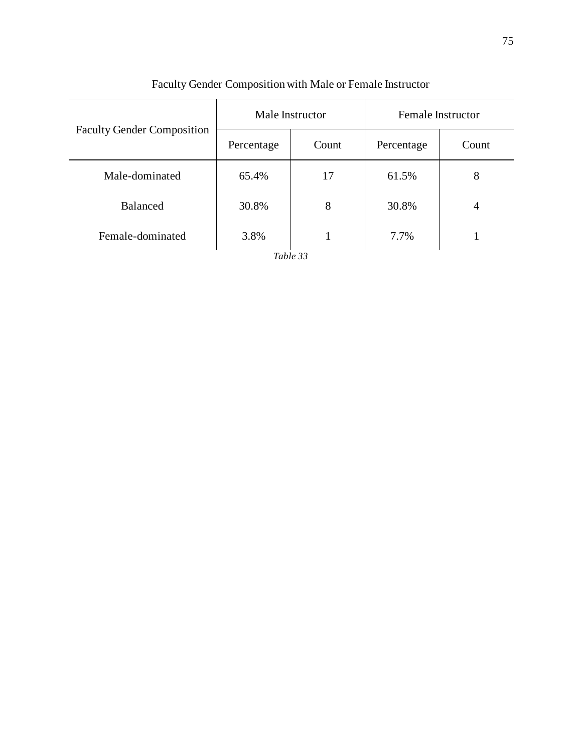|                                   | Male Instructor |       | <b>Female Instructor</b> |                |  |
|-----------------------------------|-----------------|-------|--------------------------|----------------|--|
| <b>Faculty Gender Composition</b> | Percentage      | Count | Percentage               | Count          |  |
| Male-dominated                    | 65.4%           | 17    | 61.5%                    | 8              |  |
| Balanced                          | 30.8%           | 8     | 30.8%                    | $\overline{4}$ |  |
| Female-dominated                  | 3.8%            | 1     | 7.7%                     |                |  |
| Table 33                          |                 |       |                          |                |  |

# Faculty Gender Composition with Male or Female Instructor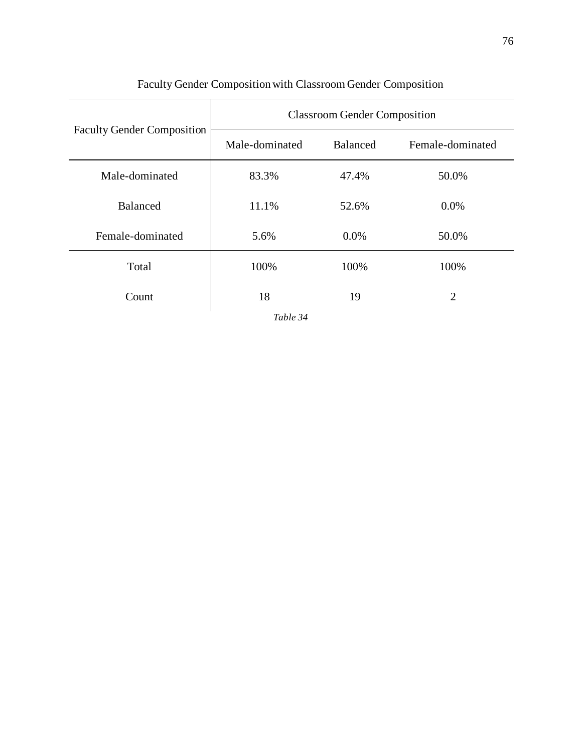|                                   | <b>Classroom Gender Composition</b> |                 |                  |  |  |
|-----------------------------------|-------------------------------------|-----------------|------------------|--|--|
| <b>Faculty Gender Composition</b> | Male-dominated                      | <b>Balanced</b> | Female-dominated |  |  |
| Male-dominated                    | 83.3%                               | 47.4%           | 50.0%            |  |  |
| Balanced                          | 11.1%                               | 52.6%           | $0.0\%$          |  |  |
| Female-dominated                  | 5.6%                                | $0.0\%$         | 50.0%            |  |  |
| Total                             | 100%                                | 100%            | 100%             |  |  |
| Count                             | 18                                  | 19              | $\overline{2}$   |  |  |

# Faculty Gender Composition with Classroom Gender Composition

*Table 34*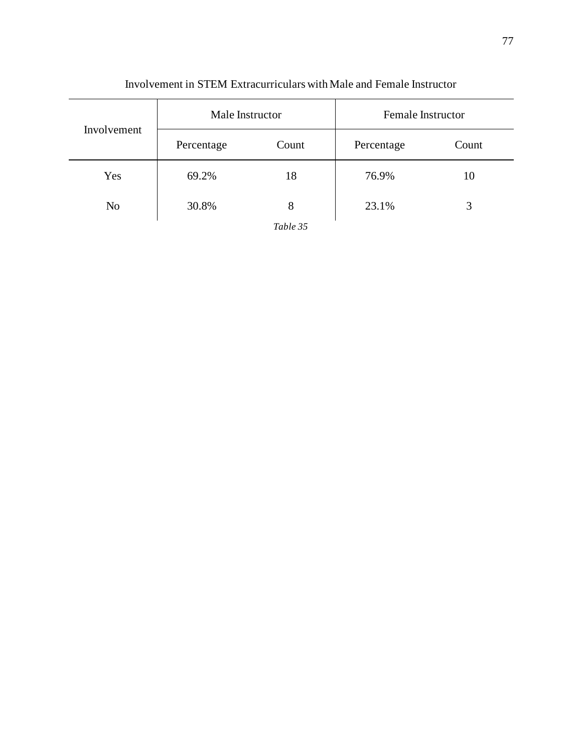| Involvement    | Male Instructor |          | <b>Female Instructor</b> |       |
|----------------|-----------------|----------|--------------------------|-------|
|                | Percentage      | Count    | Percentage               | Count |
| Yes            | 69.2%           | 18       | 76.9%                    | 10    |
| N <sub>o</sub> | 30.8%           | 8        | 23.1%                    | 3     |
|                |                 | Table 35 |                          |       |

### Involvement in STEM Extracurriculars with Male and Female Instructor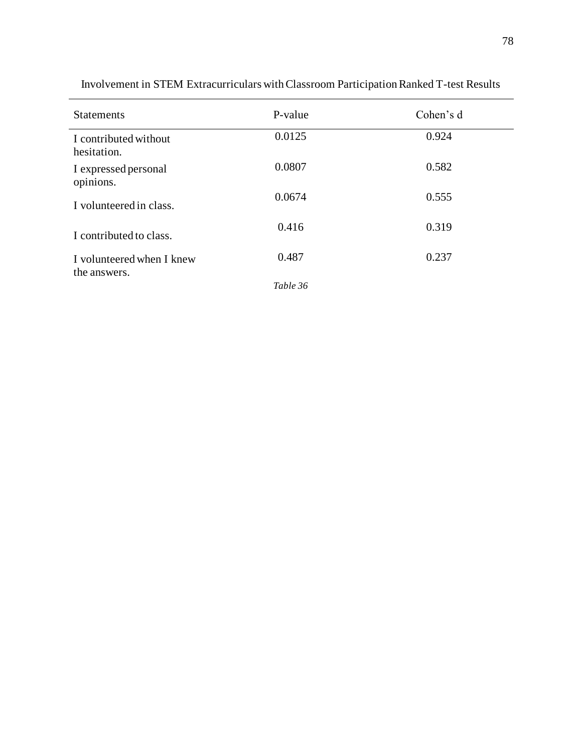| <b>Statements</b>                         | P-value  | Cohen's d |
|-------------------------------------------|----------|-----------|
| I contributed without<br>hesitation.      | 0.0125   | 0.924     |
| I expressed personal<br>opinions.         | 0.0807   | 0.582     |
| I volunteered in class.                   | 0.0674   | 0.555     |
| I contributed to class.                   | 0.416    | 0.319     |
| I volunteered when I knew<br>the answers. | 0.487    | 0.237     |
|                                           | Table 36 |           |

Involvement in STEM Extracurriculars with Classroom Participation Ranked T-test Results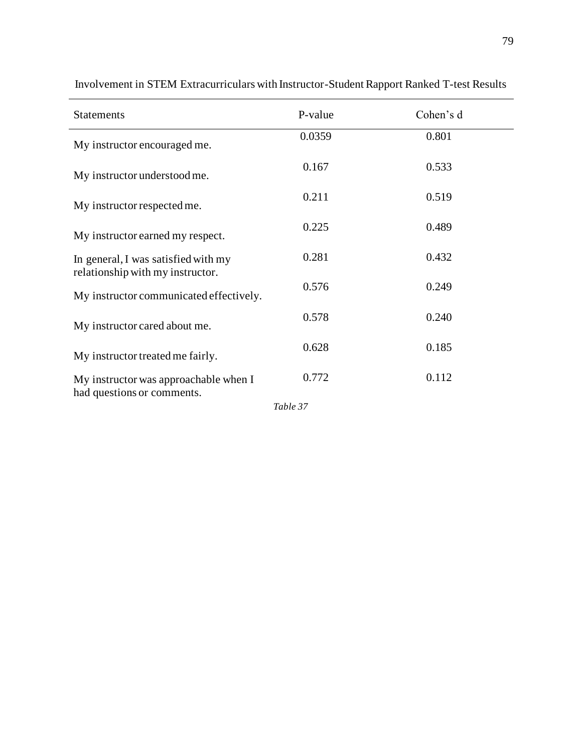| <b>Statements</b>                                                       | P-value | Cohen's d |
|-------------------------------------------------------------------------|---------|-----------|
| My instructor encouraged me.                                            | 0.0359  | 0.801     |
| My instructor understood me.                                            | 0.167   | 0.533     |
| My instructor respected me.                                             | 0.211   | 0.519     |
| My instructor earned my respect.                                        | 0.225   | 0.489     |
| In general, I was satisfied with my<br>relationship with my instructor. | 0.281   | 0.432     |
| My instructor communicated effectively.                                 | 0.576   | 0.249     |
| My instructor cared about me.                                           | 0.578   | 0.240     |
| My instructor treated me fairly.                                        | 0.628   | 0.185     |
| My instructor was approachable when I<br>had questions or comments.     | 0.772   | 0.112     |
|                                                                         |         |           |

Involvement in STEM Extracurriculars with Instructor-Student Rapport Ranked T-test Results

*Table 37*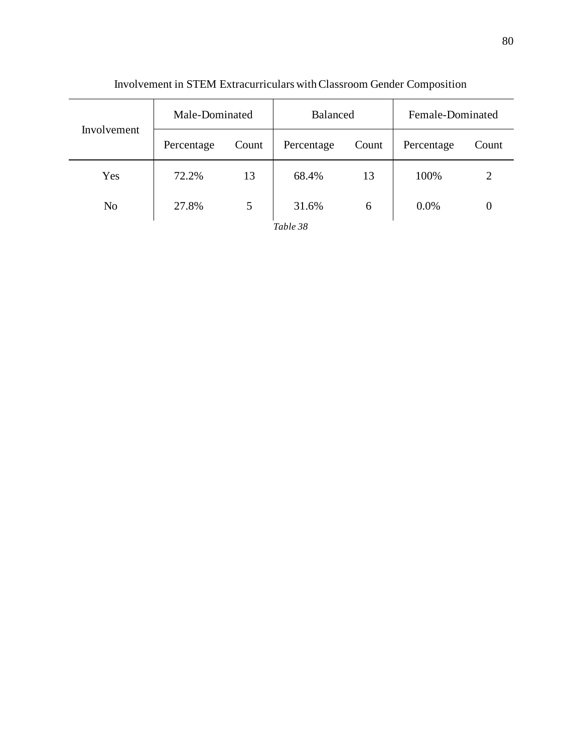| Involvement    | Male-Dominated |       | <b>Balanced</b> |       | Female-Dominated |       |
|----------------|----------------|-------|-----------------|-------|------------------|-------|
|                | Percentage     | Count | Percentage      | Count | Percentage       | Count |
| Yes            | 72.2%          | 13    | 68.4%           | 13    | 100%             | 2     |
| N <sub>o</sub> | 27.8%          | 5     | 31.6%           | 6     | 0.0%             | 0     |
|                |                |       | Table 38        |       |                  |       |

Involvement in STEM Extracurriculars with Classroom Gender Composition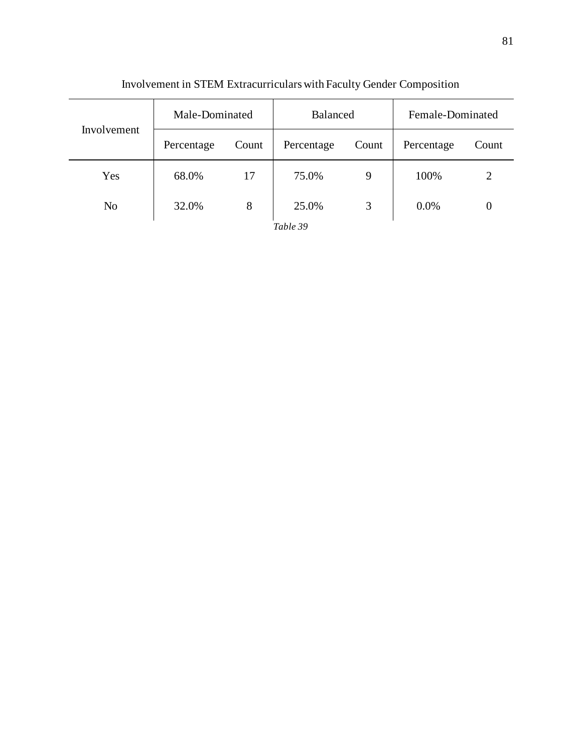| Involvement    | Male-Dominated |       | <b>Balanced</b> |       | Female-Dominated |       |
|----------------|----------------|-------|-----------------|-------|------------------|-------|
|                | Percentage     | Count | Percentage      | Count | Percentage       | Count |
| Yes            | 68.0%          | 17    | 75.0%           | 9     | 100%             | 2     |
| N <sub>o</sub> | 32.0%          | 8     | 25.0%           | 3     | 0.0%             | 0     |
|                |                |       | Table 39        |       |                  |       |

# Involvement in STEM Extracurriculars with Faculty Gender Composition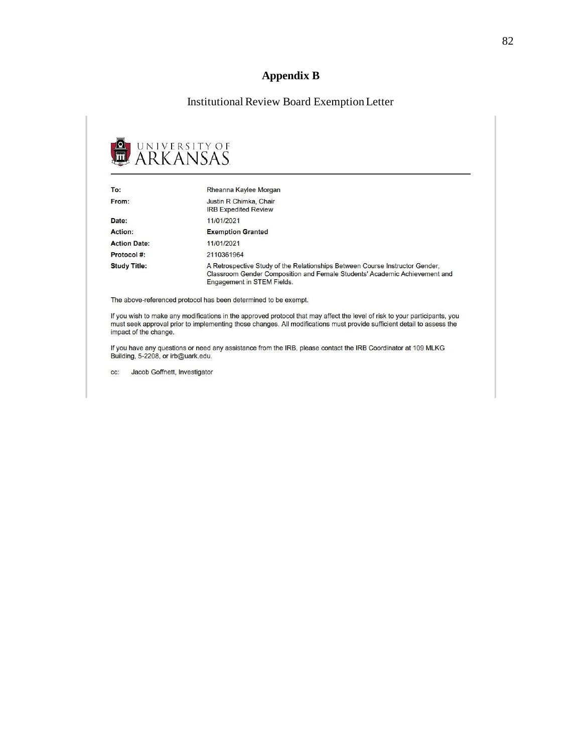### **Appendix B**

### Institutional Review Board Exemption Letter



| To:                 | Rheanna Kaylee Morgan                                                                                                                                                                    |
|---------------------|------------------------------------------------------------------------------------------------------------------------------------------------------------------------------------------|
| From:               | Justin R Chimka, Chair<br><b>IRB Expedited Review</b>                                                                                                                                    |
| Date:               | 11/01/2021                                                                                                                                                                               |
| Action:             | <b>Exemption Granted</b>                                                                                                                                                                 |
| <b>Action Date:</b> | 11/01/2021                                                                                                                                                                               |
| Protocol#:          | 2110361964                                                                                                                                                                               |
| <b>Study Title:</b> | A Retrospective Study of the Relationships Between Course Instructor Gender,<br>Classroom Gender Composition and Female Students' Academic Achievement and<br>Engagement in STEM Fields. |

The above-referenced protocol has been determined to be exempt.

If you wish to make any modifications in the approved protocol that may affect the level of risk to your participants, you must seek approval prior to implementing those changes. All modifications must provide sufficient detail to assess the impact of the change.

If you have any questions or need any assistance from the IRB, please contact the IRB Coordinator at 109 MLKG Building, 5-2208, or irb@uark.edu.

Jacob Goffnett, Investigator CC: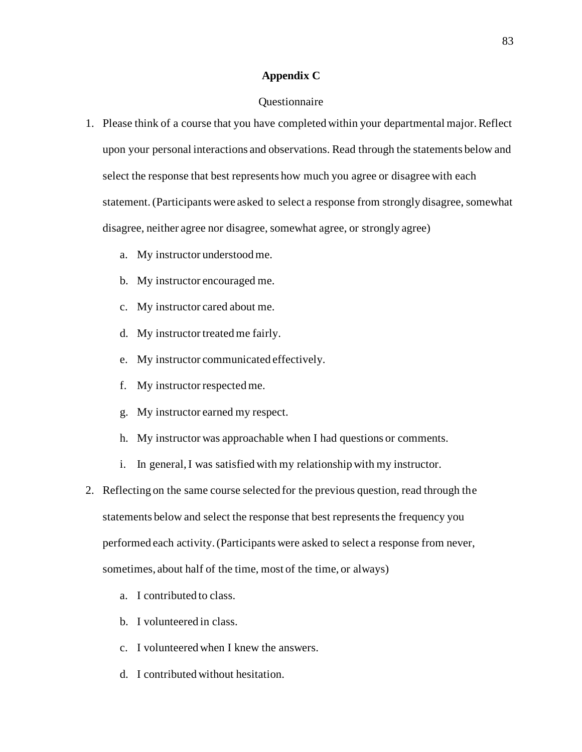#### **Appendix C**

#### Questionnaire

- 1. Please think of a course that you have completed within your departmental major. Reflect upon your personal interactions and observations. Read through the statements below and select the response that best represents how much you agree or disagree with each statement.(Participants were asked to select a response from strongly disagree, somewhat disagree, neither agree nor disagree, somewhat agree, or strongly agree)
	- a. My instructor understood me.
	- b. My instructor encouraged me.
	- c. My instructor cared about me.
	- d. My instructor treated me fairly.
	- e. My instructor communicated effectively.
	- f. My instructor respected me.
	- g. My instructor earned my respect.
	- h. My instructor was approachable when I had questions or comments.
	- i. In general, I was satisfied with my relationship with my instructor.
- 2. Reflecting on the same course selected for the previous question, read through the statements below and select the response that best represents the frequency you performed each activity. (Participants were asked to select a response from never, sometimes, about half of the time, most of the time, or always)
	- a. I contributed to class.
	- b. I volunteered in class.
	- c. I volunteered when I knew the answers.
	- d. I contributed without hesitation.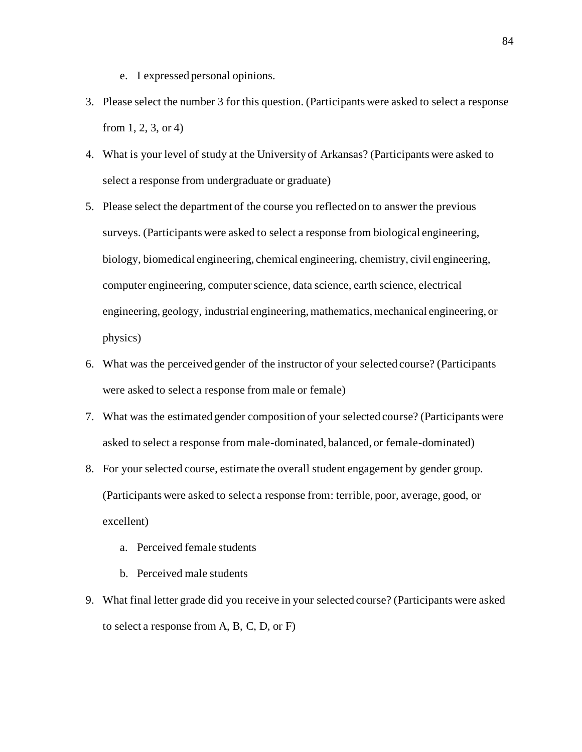- e. I expressed personal opinions.
- 3. Please select the number 3 for this question. (Participants were asked to select a response from 1, 2, 3, or 4)
- 4. What is your level of study at the University of Arkansas? (Participants were asked to select a response from undergraduate or graduate)
- 5. Please select the department of the course you reflected on to answer the previous surveys. (Participants were asked to select a response from biological engineering, biology, biomedical engineering, chemical engineering, chemistry, civil engineering, computer engineering, computer science, data science, earth science, electrical engineering, geology, industrial engineering, mathematics, mechanical engineering, or physics)
- 6. What was the perceived gender of the instructor of your selected course? (Participants were asked to select a response from male or female)
- 7. What was the estimated gender composition of your selected course? (Participants were asked to select a response from male-dominated, balanced, or female-dominated)
- 8. For your selected course, estimate the overall student engagement by gender group. (Participants were asked to select a response from: terrible, poor, average, good, or excellent)
	- a. Perceived female students
	- b. Perceived male students
- 9. What final letter grade did you receive in your selected course? (Participants were asked to select a response from A, B, C, D, or F)